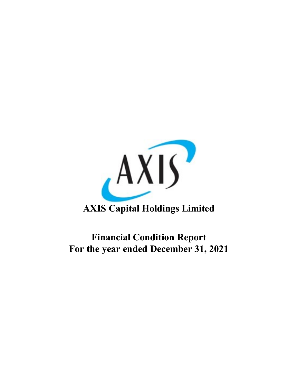

# **AXIS Capital Holdings Limited**

# **Financial Condition Report For the year ended December 31, 2021**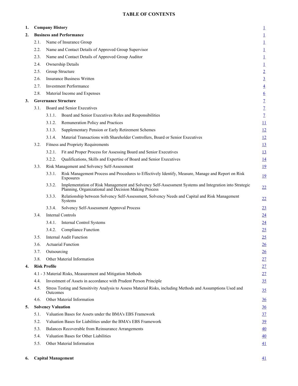# **TABLE OF CONTENTS**

| 1. | <b>Company History</b> |                           |                                                                                                                                                               |                          |  |  |
|----|------------------------|---------------------------|---------------------------------------------------------------------------------------------------------------------------------------------------------------|--------------------------|--|--|
| 2. |                        |                           | <b>Business and Performance</b>                                                                                                                               | $\overline{1}$           |  |  |
|    | 2.1.                   |                           | Name of Insurance Group                                                                                                                                       | $\overline{1}$           |  |  |
|    | 2.2.                   |                           | Name and Contact Details of Approved Group Supervisor                                                                                                         | $\overline{1}$           |  |  |
|    | 2.3.                   |                           | Name and Contact Details of Approved Group Auditor                                                                                                            | $\overline{1}$           |  |  |
|    | 2.4.                   |                           | Ownership Details                                                                                                                                             | $\overline{1}$           |  |  |
|    | 2.5.                   |                           | Group Structure                                                                                                                                               | $\overline{2}$           |  |  |
|    | 2.6.                   |                           | <b>Insurance Business Written</b>                                                                                                                             | $\overline{3}$           |  |  |
|    | 2.7.                   |                           | <b>Investment Performance</b>                                                                                                                                 | $\overline{4}$           |  |  |
|    | 2.8.                   |                           | Material Income and Expenses                                                                                                                                  | $\underline{6}$          |  |  |
| 3. |                        |                           | <b>Governance Structure</b>                                                                                                                                   | $\underline{\mathbf{7}}$ |  |  |
|    | 3.1.                   |                           | Board and Senior Executives                                                                                                                                   | $\underline{\mathbf{7}}$ |  |  |
|    |                        | 3.1.1.                    | Board and Senior Executives Roles and Responsibilities                                                                                                        | $\mathbf{Z}$             |  |  |
|    |                        | 3.1.2.                    | Remuneration Policy and Practices                                                                                                                             | $\overline{11}$          |  |  |
|    |                        | 3.1.3.                    | Supplementary Pension or Early Retirement Schemes                                                                                                             | $\overline{12}$          |  |  |
|    |                        | 3.1.4.                    | Material Transactions with Shareholder Controllers, Board or Senior Executives                                                                                | 12                       |  |  |
|    | 3.2.                   |                           | <b>Fitness and Propriety Requirements</b>                                                                                                                     | 13                       |  |  |
|    |                        | 3.2.1.                    | Fit and Proper Process for Assessing Board and Senior Executives                                                                                              | 13                       |  |  |
|    |                        | 3.2.2.                    | Qualifications, Skills and Expertise of Board and Senior Executives                                                                                           | <u>14</u>                |  |  |
|    | 3.3.                   |                           | Risk Management and Solvency Self-Assessment                                                                                                                  | <u>19</u>                |  |  |
|    |                        | 3.3.1.                    | Risk Management Process and Procedures to Effectively Identify, Measure, Manage and Report on Risk<br>Exposures                                               | <u>19</u>                |  |  |
|    |                        | 3.3.2.                    | Implementation of Risk Management and Solvency Self-Assessment Systems and Integration into Strategic<br>Planning, Organizational and Decision Making Process | 22                       |  |  |
|    |                        | 3.3.3.                    | Relationship between Solvency Self-Assessment, Solvency Needs and Capital and Risk Management<br>Systems                                                      | 22                       |  |  |
|    |                        | 3.3.4.                    | Solvency Self-Assessment Approval Process                                                                                                                     | 23                       |  |  |
|    | 3.4.                   |                           | <b>Internal Controls</b>                                                                                                                                      | 24                       |  |  |
|    |                        | 3.4.1.                    | Internal Control Systems                                                                                                                                      | 24                       |  |  |
|    |                        | 3.4.2.                    | Compliance Function                                                                                                                                           | 25                       |  |  |
|    | 3.5.                   |                           | <b>Internal Audit Function</b>                                                                                                                                | 25                       |  |  |
|    | 3.6.                   |                           | <b>Actuarial Function</b>                                                                                                                                     | 26                       |  |  |
|    | 3.7.                   | Outsourcing               |                                                                                                                                                               | 26                       |  |  |
|    | 3.8.                   |                           | Other Material Information                                                                                                                                    | 27                       |  |  |
| 4. |                        | <b>Risk Profile</b>       |                                                                                                                                                               | 27                       |  |  |
|    |                        |                           | 4.1 - 3 Material Risks, Measurement and Mitigation Methods                                                                                                    | 27                       |  |  |
|    | 4.4.                   |                           | Investment of Assets in accordance with Prudent Person Principle                                                                                              | <u>35</u>                |  |  |
|    | 4.5.                   | <b>Outcomes</b>           | Stress Testing and Sensitivity Analysis to Assess Material Risks, including Methods and Assumptions Used and                                                  | <u>35</u>                |  |  |
|    | 4.6.                   |                           | Other Material Information                                                                                                                                    | 36                       |  |  |
| 5. |                        | <b>Solvency Valuation</b> |                                                                                                                                                               | $\frac{36}{5}$           |  |  |
|    | 5.1.                   |                           | Valuation Bases for Assets under the BMA's EBS Framework                                                                                                      | $\frac{37}{2}$           |  |  |
|    | 5.2.                   |                           | Valuation Bases for Liabilities under the BMA's EBS Framework                                                                                                 | 39                       |  |  |
|    | 5.3.                   |                           | Balances Recoverable from Reinsurance Arrangements                                                                                                            | 40                       |  |  |
|    | 5.4.                   |                           | Valuation Bases for Other Liabilities                                                                                                                         | 40                       |  |  |
|    | 5.5.                   |                           | Other Material Information                                                                                                                                    | 41                       |  |  |
|    |                        |                           |                                                                                                                                                               |                          |  |  |

#### **6.** Capital Management **41**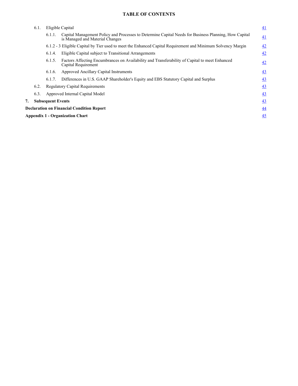# **TABLE OF CONTENTS**

|    | 6.1. | Eligible Capital         |                                                                                                                                          | 41              |
|----|------|--------------------------|------------------------------------------------------------------------------------------------------------------------------------------|-----------------|
|    |      | 6.1.1.                   | Capital Management Policy and Processes to Determine Capital Needs for Business Planning, How Capital<br>is Managed and Material Changes | 41              |
|    |      |                          | 6.1.2 - 3 Eligible Capital by Tier used to meet the Enhanced Capital Requirement and Minimum Solvency Margin                             | 42              |
|    |      | 6.1.4.                   | Eligible Capital subject to Transitional Arrangements                                                                                    | 42              |
|    |      | 6.1.5.                   | Factors Affecting Encumbrances on Availability and Transferability of Capital to meet Enhanced<br>Capital Requirement                    | 42              |
|    |      | 6.1.6.                   | Approved Ancillary Capital Instruments                                                                                                   | 43              |
|    |      | 6.1.7.                   | Differences in U.S. GAAP Shareholder's Equity and EBS Statutory Capital and Surplus                                                      | 43              |
|    | 6.2. |                          | <b>Regulatory Capital Requirements</b>                                                                                                   | 43              |
|    | 6.3. |                          | Approved Internal Capital Model                                                                                                          | 43              |
| 7. |      | <b>Subsequent Events</b> |                                                                                                                                          | 43              |
|    |      |                          | <b>Declaration on Financial Condition Report</b>                                                                                         | $\overline{44}$ |
|    |      |                          | <b>Appendix 1 - Organization Chart</b>                                                                                                   | 45              |
|    |      |                          |                                                                                                                                          |                 |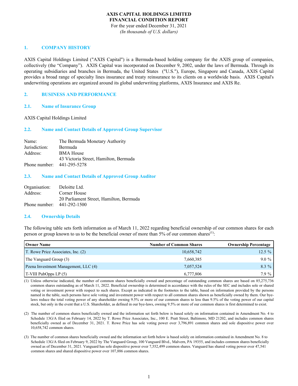#### **AXIS CAPITAL HOLDINGS LIMITED FINANCIAL CONDITION REPORT** For the year ended December 31, 2021

*(In thousands of U.S. dollars)*

## **1. COMPANY HISTORY**

AXIS Capital Holdings Limited ("AXIS Capital") is a Bermuda-based holding company for the AXIS group of companies, collectively (the "Company"). AXIS Capital was incorporated on December 9, 2002, under the laws of Bermuda. Through its operating subsidiaries and branches in Bermuda, the United States ("U.S."), Europe, Singapore and Canada, AXIS Capital provides a broad range of specialty lines insurance and treaty reinsurance to its clients on a worldwide basis. AXIS Capital's underwriting operations are organized around its global underwriting platforms, AXIS Insurance and AXIS Re.

## **2. BUSINESS AND PERFORMANCE**

#### **2.1. Name of Insurance Group**

#### AXIS Capital Holdings Limited

#### **2.2. Name and Contact Details of Approved Group Supervisor**

| Name:         | The Bermuda Monetary Authority        |
|---------------|---------------------------------------|
| Jurisdiction: | Bermuda                               |
| Address:      | <b>BMA House</b>                      |
|               | 43 Victoria Street, Hamilton, Bermuda |
| Phone number: | 441-295-5278                          |

#### **2.3. Name and Contact Details of Approved Group Auditor**

| Organisation:                | Deloitte Ltd.                           |
|------------------------------|-----------------------------------------|
| Address:                     | Corner House                            |
|                              | 20 Parliament Street, Hamilton, Bermuda |
| Phone number: $441-292-1500$ |                                         |

#### **2.4. Ownership Details**

The following table sets forth information as of March 11, 2022 regarding beneficial ownership of our common shares for each person or group known to us to be the beneficial owner of more than  $5\%$  of our common shares<sup>(1)</sup>:

| <b>Owner Name</b>                    | <b>Number of Common Shares</b> | <b>Ownership Percentage</b> |
|--------------------------------------|--------------------------------|-----------------------------|
| T. Rowe Price Associates, Inc. (2)   | 10,658,742                     | $12.5\%$                    |
| The Vanguard Group (3)               | 7,660,385                      | $9.0 \%$                    |
| Pzena Investment Management, LLC (4) | 7,057,524                      | $8.3\%$                     |
| $T-VIII$ PubOpps LP $(5)$            | 6,777,806                      | $7.9\%$                     |

(1) Unless otherwise indicated, the number of common shares beneficially owned and percentage of outstanding common shares are based on 85,275,736 common shares outstanding as of March 11, 2022. Beneficial ownership is determined in accordance with the rules of the SEC and includes sole or shared voting or investment power with respect to such shares. Except as indicated in the footnotes to the table, based on information provided by the persons named in the table, such persons have sole voting and investment power with respect to all common shares shown as beneficially owned by them. Our byelaws reduce the total voting power of any shareholder owning 9.5% or more of our common shares to less than 9.5% of the voting power of our capital stock, but only in the event that a U.S. Shareholder, as defined in our bye-laws, owning 9.5% or more of our common shares is first determined to exist.

- (2) The number of common shares beneficially owned and the information set forth below is based solely on information contained in Amendment No. 4 to Schedule 13G/A filed on February 14, 2022 by T. Rowe Price Associates, Inc., 100 E. Pratt Street, Baltimore, MD 21202, and includes common shares beneficially owned as of December 31, 2021. T. Rowe Price has sole voting power over 3,796,891 common shares and sole dispositive power over 10,658,742 common shares.
- (3) The number of common shares beneficially owned and the information set forth below is based solely on information contained in Amendment No. 8 to Schedule 13G/A filed on February 9, 2022 by The Vanguard Group, 100 Vanguard Blvd., Malvern, PA 19355, and includes common shares beneficially owned as of December 31, 2021. Vanguard has sole dispositive power over 7,552,499 common shares. Vanguard has shared voting power over 47,541 common shares and shared dispositive power over 107,886 common shares.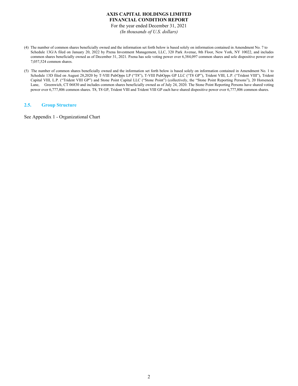For the year ended December 31, 2021 *(In thousands of U.S. dollars)*

- (4) The number of common shares beneficially owned and the information set forth below is based solely on information contained in Amendment No. 7 to Schedule 13G/A filed on January 20, 2022 by Pzena Investment Management, LLC, 320 Park Avenue, 8th Floor, New York, NY 10022, and includes common shares beneficially owned as of December 31, 2021. Pzena has sole voting power over 6,384,097 common shares and sole dispositive power over 7,057,524 common shares.
- (5) The number of common shares beneficially owned and the information set forth below is based solely on information contained in Amendment No. 1 to Schedule 13D filed on August 28,2020 by T-VIII PubOpps LP ("T8"), T-VIII PubOpps GP LLC ("T8 GP"), Trident VIII, L.P. ("Trident VIII"), Trident Capital VIII, L.P. ("Trident VIII GP") and Stone Point Capital LLC ("Stone Point") (collectively, the "Stone Point Reporting Persons"), 20 Horseneck Lane, Greenwich, CT 06830 and includes common shares beneficially owned as of July 24, 2020. The Stone Point Reporting Persons have shared voting power over 6,777,806 common shares. T8, T8 GP, Trident VIII and Trident VIII GP each have shared dispositive power over 6,777,806 common shares.

## **2.5. Group Structure**

See Appendix 1 - Organizational Chart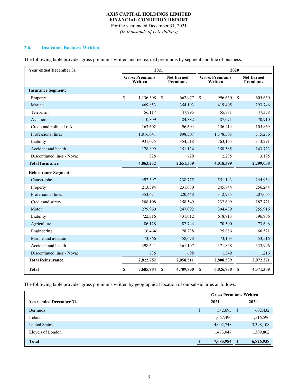For the year ended December 31, 2021 *(In thousands of U.S. dollars)*

#### **2.6. Insurance Business Written**

The following table provides gross premiums written and net earned premiums by segment and line of business:

| <b>Year ended December 31</b> | 2021                             |           |               |                                      | 2020                             |              |                                      |  |
|-------------------------------|----------------------------------|-----------|---------------|--------------------------------------|----------------------------------|--------------|--------------------------------------|--|
|                               | <b>Gross Premiums</b><br>Written |           |               | <b>Net Earned</b><br><b>Premiums</b> | <b>Gross Premiums</b><br>Written |              | <b>Net Earned</b><br><b>Premiums</b> |  |
| <b>Insurance Segment:</b>     |                                  |           |               |                                      |                                  |              |                                      |  |
| Property                      | \$                               | 1,136,508 | <sup>\$</sup> | 662,977                              | $\mathbf S$<br>996,650           | $\mathbf{s}$ | 605,650                              |  |
| Marine                        |                                  | 469,853   |               | 354,193                              | 419,405                          |              | 293,746                              |  |
| Terrorism                     |                                  | 56,117    |               | 47,995                               | 55,781                           |              | 47,378                               |  |
| Aviation                      |                                  | 110,809   |               | 84,882                               | 87,671                           |              | 70,910                               |  |
| Credit and political risk     |                                  | 163,602   |               | 96,604                               | 156,414                          |              | 105,869                              |  |
| Professional lines            |                                  | 1,816,041 |               | 898,307                              | 1,378,503                        |              | 715,276                              |  |
| Liability                     |                                  | 931,075   |               | 354,518                              | 763,155                          |              | 313,291                              |  |
| Accident and health           |                                  | 178,899   |               | 151,134                              | 158,585                          |              | 143,723                              |  |
| Discontinued lines - Novae    |                                  | 328       |               | 729                                  | 2,235                            |              | 3,195                                |  |
| <b>Total Insurance</b>        |                                  | 4,863,232 |               | 2,651,339                            | 4,018,399                        |              | 2,299,038                            |  |
| <b>Reinsurance Segment:</b>   |                                  |           |               |                                      |                                  |              |                                      |  |
| Catastrophe                   |                                  | 492,397   |               | 238,775                              | 551,143                          |              | 244,934                              |  |
| Property                      |                                  | 213,394   |               | 231,080                              | 245,744                          |              | 256,244                              |  |
| Professional lines            |                                  | 353,671   |               | 220,448                              | 312,935                          |              | 207,605                              |  |
| Credit and surety             |                                  | 208,108   |               | 158,549                              | 232,699                          |              | 187,721                              |  |
| Motor                         |                                  | 279,960   |               | 247,092                              | 304,439                          |              | 255,916                              |  |
| Liability                     |                                  | 722,316   |               | 431,012                              | 618,913                          |              | 396,906                              |  |
| Agriculture                   |                                  | 86,128    |               | 82,744                               | 70,500                           |              | 73,696                               |  |
| Engineering                   |                                  | (6, 464)  |               | 28,238                               | 25,886                           |              | 60,521                               |  |
| Marine and aviation           |                                  | 73,866    |               | 58,678                               | 73,103                           |              | 53,516                               |  |
| Accident and health           |                                  | 398,641   |               | 361,197                              | 371,828                          |              | 333,996                              |  |
| Discontinued lines - Novae    |                                  | 735       |               | 698                                  | 1,349                            |              | 1,216                                |  |
| <b>Total Reinsurance</b>      |                                  | 2,822,752 |               | 2,058,511                            | 2,808,539                        |              | 2,072,271                            |  |
| <b>Total</b>                  | S                                | 7,685,984 | S             | 4,709,850                            | 6,826,938<br>\$                  | S            | 4,371,309                            |  |

The following table provides gross premiums written by geographical location of our subsidiaries as follows:

|                         | <b>Gross Premiums Written</b> |           |              |           |  |
|-------------------------|-------------------------------|-----------|--------------|-----------|--|
| Year ended December 31, | 2021<br>2020                  |           |              |           |  |
| Bermuda                 | \$                            | 542,693   | - \$         | 602,432   |  |
| Ireland                 |                               | 1,667,496 |              | 1,516,596 |  |
| <b>United States</b>    |                               | 4,002,748 |              | 3,398,108 |  |
| Lloyd's of London       |                               | 1,473,047 |              | 1,309,802 |  |
| <b>Total</b>            | -S                            | 7,685,984 | $\mathbf{s}$ | 6,826,938 |  |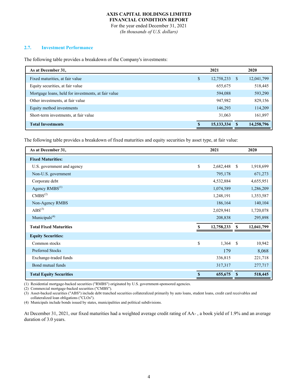For the year ended December 31, 2021 *(In thousands of U.S. dollars)*

#### **2.7. Investment Performance**

The following table provides a breakdown of the Company's investments:

| As at December 31,                                  | 2021             |   | 2020       |
|-----------------------------------------------------|------------------|---|------------|
| Fixed maturities, at fair value                     | \$<br>12,758,233 | S | 12,041,799 |
| Equity securities, at fair value                    | 655,675          |   | 518,445    |
| Mortgage loans, held for investments, at fair value | 594,088          |   | 593,290    |
| Other investments, at fair value                    | 947,982          |   | 829,156    |
| Equity method investments                           | 146,293          |   | 114,209    |
| Short-term investments, at fair value               | 31,063           |   | 161,897    |
| <b>Total Investments</b>                            | 15, 133, 334     |   | 14,258,796 |

The following table provides a breakdown of fixed maturities and equity securities by asset type, at fair value:

| As at December 31,             |    | 2021       |               | 2020       |
|--------------------------------|----|------------|---------------|------------|
| <b>Fixed Maturities:</b>       |    |            |               |            |
| U.S. government and agency     | \$ | 2,682,448  | <sup>\$</sup> | 1,918,699  |
| Non-U.S. government            |    | 795,178    |               | 671,273    |
| Corporate debt                 |    | 4,532,884  |               | 4,655,951  |
| Agency RMBS <sup>(1)</sup>     |    | 1,074,589  |               | 1,286,209  |
| CMBS <sup>(2)</sup>            |    | 1,248,191  |               | 1,353,587  |
| Non-Agency RMBS                |    | 186,164    |               | 140,104    |
| $ABS^{(3)}$                    |    | 2,029,941  |               | 1,720,078  |
| Municipals <sup>(4)</sup>      |    | 208,838    |               | 295,898    |
| <b>Total Fixed Maturities</b>  |    | 12,758,233 | \$            | 12,041,799 |
| <b>Equity Securities:</b>      |    |            |               |            |
| Common stocks                  | \$ | 1,364      | <sup>\$</sup> | 10,942     |
| <b>Preferred Stocks</b>        |    | 179        |               | 8,068      |
| Exchange-traded funds          |    | 336,815    |               | 221,718    |
| Bond mutual funds              |    | 317,317    |               | 277,717    |
| <b>Total Equity Securities</b> | S  | 655,675    | S             | 518,445    |

(1) Residential mortgage-backed securities ("RMBS") originated by U.S. government-sponsored agencies.

(2) Commercial mortgage-backed securities ("CMBS").

(3) Asset-backed securities ("ABS") include debt tranched securities collateralized primarily by auto loans, student loans, credit card receivables and collateralized loan obligations ("CLOs").

(4) Municipals include bonds issued by states, municipalities and political subdivisions.

At December 31, 2021, our fixed maturities had a weighted average credit rating of AA- , a book yield of 1.9% and an average duration of 3.0 years.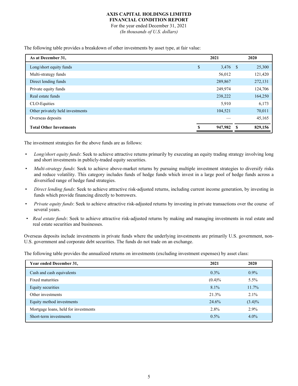For the year ended December 31, 2021 *(In thousands of U.S. dollars)*

The following table provides a breakdown of other investments by asset type, at fair value:

| As at December 31,               | 2021             |      | 2020    |
|----------------------------------|------------------|------|---------|
| Long/short equity funds          | \$<br>$3,476$ \$ |      | 25,300  |
| Multi-strategy funds             | 56,012           |      | 121,420 |
| Direct lending funds             | 289,867          |      | 272,131 |
| Private equity funds             | 249,974          |      | 124,706 |
| Real estate funds                | 238,222          |      | 164,250 |
| CLO-Equities                     | 5,910            |      | 6,173   |
| Other privately held investments | 104,521          |      | 70,011  |
| Overseas deposits                |                  |      | 45,165  |
| <b>Total Other Investments</b>   | 947,982          | - \$ | 829,156 |

The investment strategies for the above funds are as follows:

- *Long/short equity funds*: Seek to achieve attractive returns primarily by executing an equity trading strategy involving long and short investments in publicly-traded equity securities.
- *• Multi-strategy funds*: Seek to achieve above-market returns by pursuing multiple investment strategies to diversify risks and reduce volatility. This category includes funds of hedge funds which invest in a large pool of hedge funds across a diversified range of hedge fund strategies.
- *Direct lending funds*: Seek to achieve attractive risk-adjusted returns, including current income generation, by investing in funds which provide financing directly to borrowers.
- *Private equity funds*: Seek to achieve attractive risk-adjusted returns by investing in private transactions over the course of several years.
- *Real estate funds*: Seek to achieve attractive risk-adjusted returns by making and managing investments in real estate and real estate securities and businesses.

Overseas deposits include investments in private funds where the underlying investments are primarily U.S. government, non-U.S. government and corporate debt securities. The funds do not trade on an exchange.

The following table provides the annualized returns on investments (excluding investment expenses) by asset class:

| Year ended December 31,              | 2021      | 2020      |
|--------------------------------------|-----------|-----------|
| Cash and cash equivalents            | $0.3\%$   | $0.9\%$   |
| <b>Fixed maturities</b>              | $(0.4)\%$ | $5.5\%$   |
| Equity securities                    | $8.1\%$   | $11.7\%$  |
| Other investments                    | 21.3%     | 2.1%      |
| Equity method investments            | 24.6%     | $(3.4)\%$ |
| Mortgage loans, held for investments | 2.8%      | 2.9%      |
| Short-term investments               | 0.5%      | $4.0\%$   |
|                                      |           |           |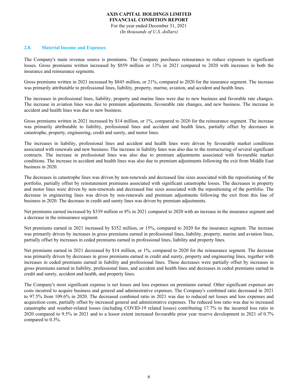For the year ended December 31, 2021 *(In thousands of U.S. dollars)*

#### **2.8. Material Income and Expenses**

The Company's main revenue source is premiums. The Company purchases reinsurance to reduce exposure to significant losses. Gross premiums written increased by \$859 million or 13% in 2021 compared to 2020 with increases in both the insurance and reinsurance segments.

Gross premiums written in 2021 increased by \$845 million, or 21%, compared to 2020 for the insurance segment. The increase was primarily attributable to professional lines, liability, property, marine, aviation, and accident and health lines.

The increases in professional lines, liability, property and marine lines were due to new business and favorable rate changes. The increase in aviation lines was due to premium adjustments, favourable rate changes, and new business. The increase in accident and health lines was due to new business.

Gross premiums written in 2021 increased by \$14 million, or 1%, compared to 2020 for the reinsurance segment. The increase was primarily attributable to liability, professional lines and accident and health lines, partially offset by decreases in catastrophe, property, engineering, credit and surety, and motor lines.

The increases in liability, professional lines and accident and health lines were driven by favourable market conditions associated with renewals and new business. The increase in liability lines was also due to the restructuring of several significant contracts. The increase in professional lines was also due to premium adjustments associated with favourable market conditions. The increase in accident and health lines was also due to premium adjustments following the exit from Middle East business in 2020.

The decreases in catastrophe lines was driven by non-renewals and decreased line sizes associated with the repositioning of the portfolio, partially offset by reinstatement premiums associated with significant catastrophe losses. The decreases in property and motor lines were driven by non-renewals and decreased line sizes associated with the repositioning of the portfolio. The decrease in engineering lines was driven by non-renewals and premium adjustments following the exit from this line of business in 2020. The decrease in credit and surety lines was driven by premium adjustments.

Net premiums earned increased by \$339 million or 8% in 2021 compared to 2020 with an increase in the insurance segment and a decrease in the reinsurance segment.

Net premiums earned in 2021 increased by \$352 million, or 15%, compared to 2020 for the insurance segment. The increase was primarily driven by increases in gross premiums earned in professional lines, liability, property, marine and aviation lines, partially offset by increases in ceded premiums earned in professional lines, liability and property lines.

Net premiums earned in 2021 decreased by \$14 million, or 1%, compared to 2020 for the reinsurance segment. The decrease was primarily driven by decreases in gross premiums earned in credit and surety, property and engineering lines, together with increases in ceded premiums earned in liability and professional lines. These decreases were partially offset by increases in gross premiums earned in liability, professional lines, and accident and health lines and decreases in ceded premiums earned in credit and surety, accident and health, and property lines.

The Company's most significant expense is net losses and loss expenses on premiums earned. Other significant expenses are costs incurred to acquire business and general and administrative expenses. The Company's combined ratio decreased in 2021 to 97.5% from 109.6% in 2020. The decreased combined ratio in 2021 was due to reduced net losses and loss expenses and acquisition costs, partially offset by increased general and administrative expenses. The reduced loss ratio was due to increased catastrophe and weather-related losses (including COVID-19 related losses) contributing 17.7% to the incurred loss ratio in 2020 compared to 9.5% in 2021 and to a lessor extent increased favourable prior year reserve development in 2021 of 0.7% compared to 0.3%.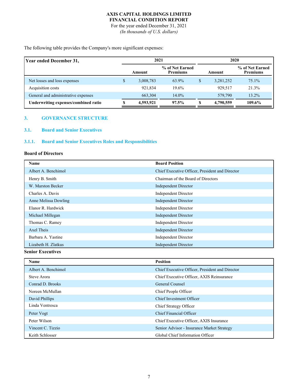For the year ended December 31, 2021 *(In thousands of U.S. dollars)*

The following table provides the Company's more significant expenses:

| Year ended December 31,              | 2021 |           |                                    |   | 2020      |                                    |  |  |
|--------------------------------------|------|-----------|------------------------------------|---|-----------|------------------------------------|--|--|
|                                      |      | Amount    | % of Net Earned<br><b>Premiums</b> |   | Amount    | % of Net Earned<br><b>Premiums</b> |  |  |
| Net losses and loss expenses         | \$   | 3,008,783 | 63.9%                              |   | 3,281,252 | $75.1\%$                           |  |  |
| Acquisition costs                    |      | 921,834   | 19.6%                              |   | 929.517   | 21.3%                              |  |  |
| General and administrative expenses  |      | 663,304   | $14.0\%$                           |   | 579,790   | 13.2%                              |  |  |
| Underwriting expenses/combined ratio |      | 4,593,921 | 97.5%                              | D | 4,790,559 | 109.6%                             |  |  |

## **3. GOVERNANCE STRUCTURE**

## **3.1. Board and Senior Executives**

## **3.1.1. Board and Senior Executives Roles and Responsibilities**

## **Board of Directors**

| Name                 | <b>Board Position</b>                           |
|----------------------|-------------------------------------------------|
| Albert A. Benchimol  | Chief Executive Officer, President and Director |
| Henry B. Smith       | Chairman of the Board of Directors              |
| W. Marston Becker    | <b>Independent Director</b>                     |
| Charles A. Davis     | <b>Independent Director</b>                     |
| Anne Melissa Dowling | <b>Independent Director</b>                     |
| Elanor R. Hardwick   | <b>Independent Director</b>                     |
| Michael Millegan     | <b>Independent Director</b>                     |
| Thomas C. Ramey      | <b>Independent Director</b>                     |
| Axel Theis           | <b>Independent Director</b>                     |
| Barbara A. Yastine   | <b>Independent Director</b>                     |
| Lizabeth H. Zlatkus  | <b>Independent Director</b>                     |

**Senior Executives**

| Name                | <b>Position</b>                                 |
|---------------------|-------------------------------------------------|
| Albert A. Benchimol | Chief Executive Officer, President and Director |
| Steve Arora         | Chief Executive Officer, AXIS Reinsurance       |
| Conrad D. Brooks    | <b>General Counsel</b>                          |
| Noreen McMullan     | Chief People Officer                            |
| David Phillips      | Chief Investment Officer                        |
| Linda Ventresca     | Chief Strategy Officer                          |
| Peter Vogt          | Chief Financial Officer                         |
| Peter Wilson        | Chief Executive Officer, AXIS Insurance         |
| Vincent C. Tizzio   | Senior Advisor - Insurance Market Strategy      |
| Keith Schlosser     | Global Chief Information Officer                |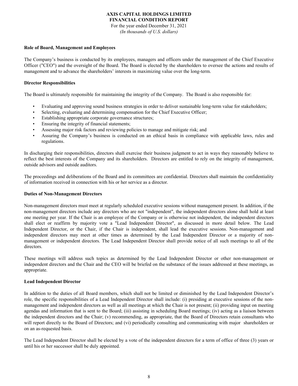For the year ended December 31, 2021 *(In thousands of U.S. dollars)*

### **Role of Board, Management and Employees**

The Company's business is conducted by its employees, managers and officers under the management of the Chief Executive Officer ("CEO") and the oversight of the Board. The Board is elected by the shareholders to oversee the actions and results of management and to advance the shareholders' interests in maximizing value over the long-term.

## **Director Responsibilities**

The Board is ultimately responsible for maintaining the integrity of the Company. The Board is also responsible for:

- Evaluating and approving sound business strategies in order to deliver sustainable long-term value for stakeholders;
- Selecting, evaluating and determining compensation for the Chief Executive Officer;
- Establishing appropriate corporate governance structures;
- Ensuring the integrity of financial statements;
- Assessing major risk factors and reviewing policies to manage and mitigate risk; and
- Assuring the Company's business is conducted on an ethical basis in compliance with applicable laws, rules and regulations.

In discharging their responsibilities, directors shall exercise their business judgment to act in ways they reasonably believe to reflect the best interests of the Company and its shareholders. Directors are entitled to rely on the integrity of management, outside advisors and outside auditors.

The proceedings and deliberations of the Board and its committees are confidential. Directors shall maintain the confidentiality of information received in connection with his or her service as a director.

## **Duties of Non-Management Directors**

Non-management directors must meet at regularly scheduled executive sessions without management present. In addition, if the non-management directors include any directors who are not "independent", the independent directors alone shall hold at least one meeting per year. If the Chair is an employee of the Company or is otherwise not independent, the independent directors shall elect or reaffirm by majority vote a "Lead Independent Director", as discussed in more detail below. The Lead Independent Director, or the Chair, if the Chair is independent, shall lead the executive sessions. Non-management and independent directors may meet at other times as determined by the Lead Independent Director or a majority of nonmanagement or independent directors. The Lead Independent Director shall provide notice of all such meetings to all of the directors.

These meetings will address such topics as determined by the Lead Independent Director or other non-management or independent directors and the Chair and the CEO will be briefed on the substance of the issues addressed at these meetings, as appropriate.

## **Lead Independent Director**

In addition to the duties of all Board members, which shall not be limited or diminished by the Lead Independent Director's role, the specific responsibilities of a Lead Independent Director shall include: (i) presiding at executive sessions of the nonmanagement and independent directors as well as all meetings at which the Chair is not present; (ii) providing input on meeting agendas and information that is sent to the Board; (iii) assisting in scheduling Board meetings; (iv) acting as a liaison between the independent directors and the Chair; (v) recommending, as appropriate, that the Board of Directors retain consultants who will report directly to the Board of Directors; and (vi) periodically consulting and communicating with major shareholders or on an as-requested basis.

The Lead Independent Director shall be elected by a vote of the independent directors for a term of office of three (3) years or until his or her successor shall be duly appointed.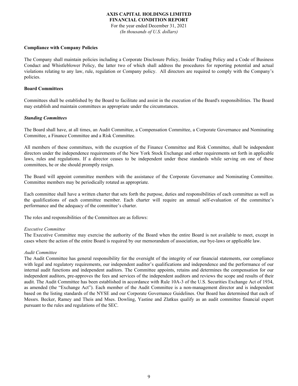For the year ended December 31, 2021 *(In thousands of U.S. dollars)*

#### **Compliance with Company Policies**

The Company shall maintain policies including a Corporate Disclosure Policy, Insider Trading Policy and a Code of Business Conduct and Whistleblower Policy, the latter two of which shall address the procedures for reporting potential and actual violations relating to any law, rule, regulation or Company policy. All directors are required to comply with the Company's policies.

#### **Board Committees**

Committees shall be established by the Board to facilitate and assist in the execution of the Board's responsibilities. The Board may establish and maintain committees as appropriate under the circumstances.

#### *Standing Committees*

The Board shall have, at all times, an Audit Committee, a Compensation Committee, a Corporate Governance and Nominating Committee, a Finance Committee and a Risk Committee.

All members of these committees, with the exception of the Finance Committee and Risk Committee, shall be independent directors under the independence requirements of the New York Stock Exchange and other requirements set forth in applicable laws, rules and regulations. If a director ceases to be independent under these standards while serving on one of these committees, he or she should promptly resign.

The Board will appoint committee members with the assistance of the Corporate Governance and Nominating Committee. Committee members may be periodically rotated as appropriate.

Each committee shall have a written charter that sets forth the purpose, duties and responsibilities of each committee as well as the qualifications of each committee member. Each charter will require an annual self-evaluation of the committee's performance and the adequacy of the committee's charter.

The roles and responsibilities of the Committees are as follows:

#### *Executive Committee*

The Executive Committee may exercise the authority of the Board when the entire Board is not available to meet, except in cases where the action of the entire Board is required by our memorandum of association, our bye-laws or applicable law.

#### *Audit Committee*

The Audit Committee has general responsibility for the oversight of the integrity of our financial statements, our compliance with legal and regulatory requirements, our independent auditor's qualifications and independence and the performance of our internal audit functions and independent auditors. The Committee appoints, retains and determines the compensation for our independent auditors, pre-approves the fees and services of the independent auditors and reviews the scope and results of their audit. The Audit Committee has been established in accordance with Rule 10A-3 of the U.S. Securities Exchange Act of 1934, as amended (the "Exchange Act"). Each member of the Audit Committee is a non-management director and is independent based on the listing standards of the NYSE and our Corporate Governance Guidelines. Our Board has determined that each of Messrs. Becker, Ramey and Theis and Mses. Dowling, Yastine and Zlatkus qualify as an audit committee financial expert pursuant to the rules and regulations of the SEC.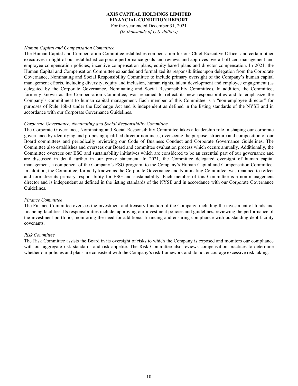For the year ended December 31, 2021 *(In thousands of U.S. dollars)*

#### *Human Capital and Compensation Committee*

The Human Capital and Compensation Committee establishes compensation for our Chief Executive Officer and certain other executives in light of our established corporate performance goals and reviews and approves overall officer, management and employee compensation policies, incentive compensation plans, equity-based plans and director compensation. In 2021, the Human Capital and Compensation Committee expanded and formalized its responsibilities upon delegation from the Corporate Governance, Nominating and Social Responsibility Committee to include primary oversight of the Company's human capital management efforts, including diversity, equity and inclusion, human rights, talent development and employee engagement (as delegated by the Corporate Governance, Nominating and Social Responsibility Committee). In addition, the Committee, formerly known as the Compensation Committee, was renamed to reflect its new responsibilities and to emphasize the Company's commitment to human capital management. Each member of this Committee is a "non-employee director" for purposes of Rule 16b-3 under the Exchange Act and is independent as defined in the listing standards of the NYSE and in accordance with our Corporate Governance Guidelines.

#### *Corporate Governance, Nominating and Social Responsibility Committee*

The Corporate Governance, Nominating and Social Responsibility Committee takes a leadership role in shaping our corporate governance by identifying and proposing qualified director nominees, overseeing the purpose, structure and composition of our Board committees and periodically reviewing our Code of Business Conduct and Corporate Governance Guidelines. The Committee also establishes and oversees our Board and committee evaluation process which occurs annually. Additionally, the Committee oversees our ESG and sustainability initiatives which are considered to be an essential part of our governance and are discussed in detail further in our proxy statement. In 2021, the Committee delegated oversight of human capital management, a component of the Company's ESG program, to the Company's Human Capital and Compensation Committee. In addition, the Committee, formerly known as the Corporate Governance and Nominating Committee, was renamed to reflect and formalize its primary responsibility for ESG and sustainability. Each member of this Committee is a non-management director and is independent as defined in the listing standards of the NYSE and in accordance with our Corporate Governance Guidelines.

## *Finance Committee*

The Finance Committee oversees the investment and treasury function of the Company, including the investment of funds and financing facilities. Its responsibilities include: approving our investment policies and guidelines, reviewing the performance of the investment portfolio, monitoring the need for additional financing and ensuring compliance with outstanding debt facility covenants.

#### *Risk Committee*

The Risk Committee assists the Board in its oversight of risks to which the Company is exposed and monitors our compliance with our aggregate risk standards and risk appetite. The Risk Committee also reviews compensation practices to determine whether our policies and plans are consistent with the Company's risk framework and do not encourage excessive risk taking.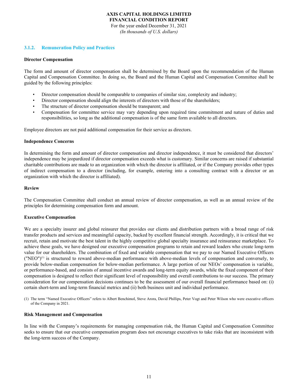For the year ended December 31, 2021 *(In thousands of U.S. dollars)*

#### **3.1.2. Remuneration Policy and Practices**

#### **Director Compensation**

The form and amount of director compensation shall be determined by the Board upon the recommendation of the Human Capital and Compensation Committee. In doing so, the Board and the Human Capital and Compensation Committee shall be guided by the following principles:

- Director compensation should be comparable to companies of similar size, complexity and industry;
- Director compensation should align the interests of directors with those of the shareholders;
- The structure of director compensation should be transparent; and
- Compensation for committee service may vary depending upon required time commitment and nature of duties and responsibilities, so long as the additional compensation is of the same form available to all directors.

Employee directors are not paid additional compensation for their service as directors.

#### **Independence Concerns**

In determining the form and amount of director compensation and director independence, it must be considered that directors' independence may be jeopardized if director compensation exceeds what is customary. Similar concerns are raised if substantial charitable contributions are made to an organization with which the director is affiliated, or if the Company provides other types of indirect compensation to a director (including, for example, entering into a consulting contract with a director or an organization with which the director is affiliated).

#### **Review**

The Compensation Committee shall conduct an annual review of director compensation, as well as an annual review of the principles for determining compensation form and amount.

#### **Executive Compensation**

We are a specialty insurer and global reinsurer that provides our clients and distribution partners with a broad range of risk transfer products and services and meaningful capacity, backed by excellent financial strength. Accordingly, it is critical that we recruit, retain and motivate the best talent in the highly competitive global specialty insurance and reinsurance marketplace. To achieve these goals, we have designed our executive compensation programs to retain and reward leaders who create long-term value for our shareholders. The combination of fixed and variable compensation that we pay to our Named Executive Officers  $("NEO")^{(1)}$  is structured to reward above-median performance with above-median levels of compensation and conversely, to provide below-median compensation for below-median performance. A large portion of our NEOs' compensation is variable, or performance-based, and consists of annual incentive awards and long-term equity awards, while the fixed component of their compensation is designed to reflect their significant level of responsibility and overall contributions to our success. The primary consideration for our compensation decisions continues to be the assessment of our overall financial performance based on: (i) certain short-term and long-term financial metrics and (ii) both business unit and individual performance.

(1) The term "Named Executive Officers" refers to Albert Benchimol, Steve Arora, David Phillips, Peter Vogt and Peter Wilson who were executive officers of the Company in 2021.

#### **Risk Management and Compensation**

In line with the Company's requirements for managing compensation risk, the Human Capital and Compensation Committee seeks to ensure that our executive compensation program does not encourage executives to take risks that are inconsistent with the long-term success of the Company.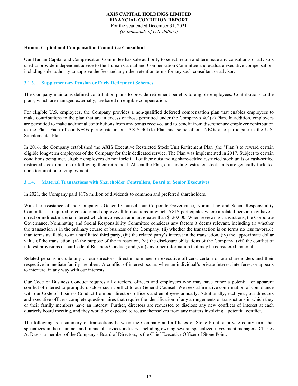For the year ended December 31, 2021 *(In thousands of U.S. dollars)*

#### **Human Capital and Compensation Committee Consultant**

Our Human Capital and Compensation Committee has sole authority to select, retain and terminate any consultants or advisors used to provide independent advice to the Human Capital and Compensation Committee and evaluate executive compensation, including sole authority to approve the fees and any other retention terms for any such consultant or advisor.

## **3.1.3. Supplementary Pension or Early Retirement Schemes**

The Company maintains defined contribution plans to provide retirement benefits to eligible employees. Contributions to the plans, which are managed externally, are based on eligible compensation.

For eligible U.S. employees, the Company provides a non-qualified deferred compensation plan that enables employees to make contributions to the plan that are in excess of those permitted under the Company's 401(k) Plan. In addition, employees are permitted to make additional contributions from any bonus received and to benefit from discretionary employer contribution to the Plan. Each of our NEOs participate in our AXIS 401(k) Plan and some of our NEOs also participate in the U.S. Supplemental Plan.

In 2016, the Company established the AXIS Executive Restricted Stock Unit Retirement Plan (the "Plan") to reward certain eligible long-term employees of the Company for their dedicated service. The Plan was implemented in 2017. Subject to certain conditions being met, eligible employees do not forfeit all of their outstanding share-settled restricted stock units or cash-settled restricted stock units on or following their retirement. Absent the Plan, outstanding restricted stock units are generally forfeited upon termination of employment.

## **3.1.4. Material Transactions with Shareholder Controllers, Board or Senior Executives**

In 2021, the Company paid \$176 million of dividends to common and preferred shareholders.

With the assistance of the Company's General Counsel, our Corporate Governance, Nominating and Social Responsibility Committee is required to consider and approve all transactions in which AXIS participates where a related person may have a direct or indirect material interest which involves an amount greater than \$120,000. When reviewing transactions, the Corporate Governance, Nominating and Social Responsibility Committee considers any factors it deems relevant, including (i) whether the transaction is in the ordinary course of business of the Company, (ii) whether the transaction is on terms no less favorable than terms available to an unaffiliated third party, (iii) the related party's interest in the transaction, (iv) the approximate dollar value of the transaction, (v) the purpose of the transaction, (vi) the disclosure obligations of the Company, (vii) the conflict of interest provisions of our Code of Business Conduct; and (viii) any other information that may be considered material.

Related persons include any of our directors, director nominees or executive officers, certain of our shareholders and their respective immediate family members. A conflict of interest occurs when an individual's private interest interferes, or appears to interfere, in any way with our interests.

Our Code of Business Conduct requires all directors, officers and employees who may have either a potential or apparent conflict of interest to promptly disclose such conflict to our General Counsel. We seek affirmative confirmation of compliance with our Code of Business Conduct from our directors, officers and employees annually. Additionally, each year, our directors and executive officers complete questionnaires that require the identification of any arrangements or transactions in which they or their family members have an interest. Further, directors are requested to disclose any new conflicts of interest at each quarterly board meeting, and they would be expected to recuse themselves from any matters involving a potential conflict.

The following is a summary of transactions between the Company and affiliates of Stone Point, a private equity firm that specializes in the insurance and financial services industry, including owning several specialized investment managers. Charles A. Davis, a member of the Company's Board of Directors, is the Chief Executive Officer of Stone Point.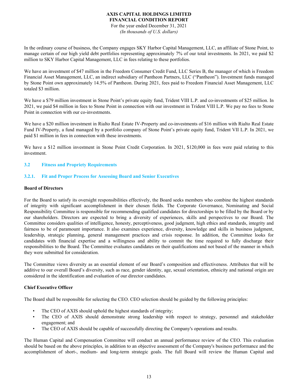For the year ended December 31, 2021 *(In thousands of U.S. dollars)*

In the ordinary course of business, the Company engages SKY Harbor Capital Management, LLC, an affiliate of Stone Point, to manage certain of our high yield debt portfolios representing approximately 7% of our total investments. In 2021, we paid \$2 million to SKY Harbor Capital Management, LLC in fees relating to these portfolios.

We have an investment of \$47 million in the Freedom Consumer Credit Fund, LLC Series B, the manager of which is Freedom Financial Asset Management, LLC, an indirect subsidiary of Pantheon Partners, LLC ("Pantheon"). Investment funds managed by Stone Point own approximately 14.5% of Pantheon. During 2021, fees paid to Freedom Financial Asset Management, LLC totaled \$3 million.

We have a \$79 million investment in Stone Point's private equity fund, Trident VIII L.P. and co-investments of \$25 million. In 2021, we paid \$4 million in fees to Stone Point in connection with our investment in Trident VIII L.P. We pay no fees to Stone Point in connection with our co-investments.

We have a \$20 million investment in Rialto Real Estate IV-Property and co-investments of \$16 million with Rialto Real Estate Fund IV-Property, a fund managed by a portfolio company of Stone Point's private equity fund, Trident VII L.P. In 2021, we paid \$1 million in fees in connection with these investments.

We have a \$12 million investment in Stone Point Credit Corporation. In 2021, \$120,000 in fees were paid relating to this investment.

## **3.2 Fitness and Propriety Requirements**

## **3.2.1. Fit and Proper Process for Assessing Board and Senior Executives**

#### **Board of Directors**

For the Board to satisfy its oversight responsibilities effectively, the Board seeks members who combine the highest standards of integrity with significant accomplishment in their chosen fields. The Corporate Governance, Nominating and Social Responsibility Committee is responsible for recommending qualified candidates for directorships to be filled by the Board or by our shareholders. Directors are expected to bring a diversity of experiences, skills and perspectives to our Board. The Committee considers qualities of intelligence, honesty, perceptiveness, good judgment, high ethics and standards, integrity and fairness to be of paramount importance. It also examines experience, diversity, knowledge and skills in business judgment, leadership, strategic planning, general management practices and crisis response. In addition, the Committee looks for candidates with financial expertise and a willingness and ability to commit the time required to fully discharge their responsibilities to the Board. The Committee evaluates candidates on their qualifications and not based of the manner in which they were submitted for consideration.

The Committee views diversity as an essential element of our Board's composition and effectiveness. Attributes that will be additive to our overall Board's diversity, such as race, gender identity, age, sexual orientation, ethnicity and national origin are considered in the identification and evaluation of our director candidates.

## **Chief Executive Officer**

The Board shall be responsible for selecting the CEO. CEO selection should be guided by the following principles:

- The CEO of AXIS should uphold the highest standards of integrity;
- The CEO of AXIS should demonstrate strong leadership with respect to strategy, personnel and stakeholder engagement; and
- The CEO of AXIS should be capable of successfully directing the Company's operations and results.

The Human Capital and Compensation Committee will conduct an annual performance review of the CEO. This evaluation should be based on the above principles, in addition to an objective assessment of the Company's business performance and the accomplishment of short-, medium- and long-term strategic goals. The full Board will review the Human Capital and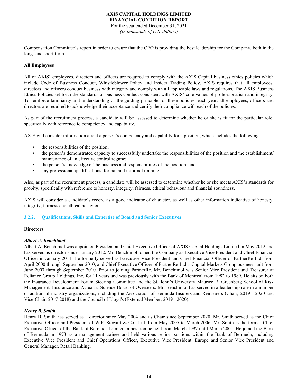For the year ended December 31, 2021 *(In thousands of U.S. dollars)*

Compensation Committee's report in order to ensure that the CEO is providing the best leadership for the Company, both in the long- and short-term.

## **All Employees**

All of AXIS' employees, directors and officers are required to comply with the AXIS Capital business ethics policies which include Code of Business Conduct, Whistleblower Policy and Insider Trading Policy. AXIS requires that all employees, directors and officers conduct business with integrity and comply with all applicable laws and regulations. The AXIS Business Ethics Policies set forth the standards of business conduct consistent with AXIS' core values of professionalism and integrity. To reinforce familiarity and understanding of the guiding principles of these policies, each year, all employees, officers and directors are required to acknowledge their acceptance and certify their compliance with each of the policies.

As part of the recruitment process, a candidate will be assessed to determine whether he or she is fit for the particular role; specifically with reference to competency and capability.

AXIS will consider information about a person's competency and capability for a position, which includes the following:

- the responsibilities of the position;
- the person's demonstrated capacity to successfully undertake the responsibilities of the position and the establishment/ maintenance of an effective control regime;
- the person's knowledge of the business and responsibilities of the position; and
- any professional qualifications, formal and informal training.

Also, as part of the recruitment process, a candidate will be assessed to determine whether he or she meets AXIS's standards for probity; specifically with reference to honesty, integrity, fairness, ethical behaviour and financial soundness.

AXIS will consider a candidate's record as a good indicator of character, as well as other information indicative of honesty, integrity, fairness and ethical behaviour.

## **3.2.2. Qualifications, Skills and Expertise of Board and Senior Executives**

## **Directors**

## *Albert A. Benchimol*

Albert A. Benchimol was appointed President and Chief Executive Officer of AXIS Capital Holdings Limited in May 2012 and has served as director since January 2012. Mr. Benchimol joined the Company as Executive Vice President and Chief Financial Officer in January 2011. He formerly served as Executive Vice President and Chief Financial Officer of PartnerRe Ltd. from April 2000 through September 2010, and Chief Executive Officer of PartnerRe Ltd.'s Capital Markets Group business unit from June 2007 through September 2010. Prior to joining PartnerRe, Mr. Benchimol was Senior Vice President and Treasurer at Reliance Group Holdings, Inc. for 11 years and was previously with the Bank of Montreal from 1982 to 1989. He sits on both the Insurance Development Forum Steering Committee and the St. John's University Maurice R. Greenberg School of Risk Management, Insurance and Actuarial Science Board of Overseers. Mr. Benchimol has served in a leadership role in a number of additional industry organizations, including the Association of Bermuda Insurers and Reinsurers (Chair, 2019 - 2020 and Vice-Chair, 2017-2018) and the Council of Lloyd's (External Member, 2019 - 2020).

## *Henry B. Smith*

Henry B. Smith has served as a director since May 2004 and as Chair since September 2020. Mr. Smith served as the Chief Executive Officer and President of W.P. Stewart & Co., Ltd. from May 2005 to March 2006. Mr. Smith is the former Chief Executive Officer of the Bank of Bermuda Limited, a position he held from March 1997 until March 2004. He joined the Bank of Bermuda in 1973 as a management trainee and held various senior positions within the Bank of Bermuda, including Executive Vice President and Chief Operations Officer, Executive Vice President, Europe and Senior Vice President and General Manager, Retail Banking.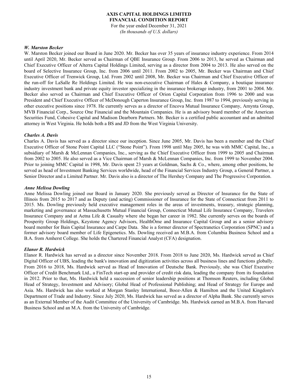For the year ended December 31, 2021 *(In thousands of U.S. dollars)*

### *W. Marston Becker*

W. Marston Becker joined our Board in June 2020. Mr. Becker has over 35 years of insurance industry experience. From 2014 until April 2020, Mr. Becker served as Chairman of QBE Insurance Group. From 2006 to 2013, he served as Chairman and Chief Executive Officer of Alterra Capital Holdings Limited, serving as a director from 2004 to 2013. He also served on the board of Selective Insurance Group, Inc. from 2006 until 2011. From 2002 to 2005, Mr. Becker was Chairman and Chief Executive Officer of Trenwick Group, Ltd. From 2002 until 2008, Mr. Becker was Chairman and Chief Executive Officer of the run-off for LaSalle Re Holdings Limited. He was non-executive Chairman of Hales & Company, a boutique insurance industry investment bank and private equity investor specializing in the insurance brokerage industry, from 2001 to 2004. Mr. Becker also served as Chairman and Chief Executive Officer of Orion Capital Corporation from 1996 to 2000 and was President and Chief Executive Officer of McDonough Caperton Insurance Group, Inc. from 1987 to 1994, previously serving in other executive positions since 1978. He currently serves as a director of Encova Mutual Insurance Company, Amynta Group, MVB Financial Corp., Source One Financial and the Mountain Companies. He is an advisory board member of the American Securities Fund, Cohesive Capital and Madison Dearborn Partners. Mr. Becker is a certified public accountant and an admitted attorney in West Virginia. He holds both a BS and JD from the West Virginia University.

#### *Charles A. Davis*

Charles A. Davis has served as a director since our inception. Since June 2005, Mr. Davis has been a member and the Chief Executive Officer of Stone Point Capital LLC ("Stone Point"). From 1998 until May 2005, he was with MMC Capital, Inc., a subsidiary of Marsh & McLennan Companies, Inc., serving as the Chief Executive Officer from 1999 to 2005 and Chairman from 2002 to 2005. He also served as a Vice Chairman of Marsh & McLennan Companies, Inc. from 1999 to November 2004. Prior to joining MMC Capital in 1998, Mr. Davis spent 23 years at Goldman, Sachs & Co., where, among other positions, he served as head of Investment Banking Services worldwide, head of the Financial Services Industry Group, a General Partner, a Senior Director and a Limited Partner. Mr. Davis also is a director of The Hershey Company and The Progressive Corporation.

#### *Anne Melissa Dowling*

Anne Melissa Dowling joined our Board in January 2020. She previously served as Director of Insurance for the State of Illinois from 2015 to 2017 and as Deputy (and acting) Commissioner of Insurance for the State of Connecticut from 2011 to 2015. Ms. Dowling previously held executive management roles in the areas of investments, treasury, strategic planning, marketing and governance at Massachusetts Mutual Financial Group, Connecticut Mutual Life Insurance Company, Travelers Insurance Company and at Aetna Life & Casualty where she began her career in 1982. She currently serves on the boards of Prosperity Group Holdings, Keystone Agency Advisors, HealthÔme and Insurance Capital Group and as a senior advisory board member for Bain Capital Insurance and Carpe Data. She is a former director of Spectranetics Corporation (SPNC) and a former advisory board member of Life Epigenetics. Ms. Dowling received an M.B.A. from Columbia Business School and a B.A. from Amherst College. She holds the Chartered Financial Analyst (CFA) designation.

## *Elanor R. Hardwick*

Elanor R. Hardwick has served as a director since November 2018. From 2018 to June 2020, Ms. Hardwick served as Chief Digital Officer of UBS, leading the bank's innovation and digitization activities across all business lines and functions globally. From 2016 to 2018, Ms. Hardwick served as Head of Innovation of Deutsche Bank. Previously, she was Chief Executive Officer of Credit Benchmark Ltd., a FinTech start-up and provider of credit risk data, leading the company from its foundation in 2012. Prior to that, Ms. Hardwick held a succession of senior leadership positions at Thomson Reuters, including Global Head of Strategy, Investment and Advisory; Global Head of Professional Publishing; and Head of Strategy for Europe and Asia. Ms. Hardwick has also worked at Morgan Stanley International, Booz-Allen & Hamilton and the United Kingdom's Department of Trade and Industry. Since July 2020, Ms. Hardwick has served as a director of Alpha Bank. She currently serves as an External Member of the Audit Committee of the University of Cambridge. Ms. Hardwick earned an M.B.A. from Harvard Business School and an M.A. from the University of Cambridge.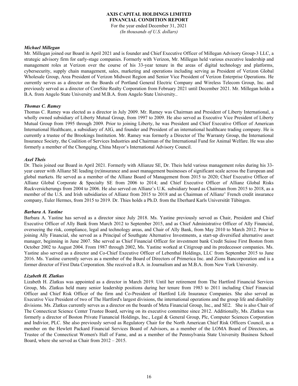For the year ended December 31, 2021 *(In thousands of U.S. dollars)*

#### *Michael Millegan*

Mr. Millegan joined our Board in April 2021 and is founder and Chief Executive Officer of Millegan Advisory Group-3 LLC, a strategic advisory firm for early-stage companies. Formerly with Verizon, Mr. Millegan held various executive leadership and management roles at Verizon over the course of his 33-year tenure in the areas of digital technology and platforms, cybersecurity, supply chain management, sales, marketing and operations including serving as President of Verizon Global Wholesale Group, Area President of Verizon Midwest Region and Senior Vice President of Verizon Enterprise Operations. He currently serves as a director on the Boards of Portland General Electric Company and Wireless Telecom Group, Inc. and previously served as a director of CoreSite Realty Corporation from February 2021 until December 2021. Mr. Millegan holds a B.A. from Angelo State University and M.B.A. from Angelo State University..

#### *Thomas C. Ramey*

Thomas C. Ramey was elected as a director in July 2009. Mr. Ramey was Chairman and President of Liberty International, a wholly owned subsidiary of Liberty Mutual Group, from 1997 to 2009. He also served as Executive Vice President of Liberty Mutual Group from 1995 through 2009. Prior to joining Liberty, he was President and Chief Executive Officer of American International Healthcare, a subsidiary of AIG, and founder and President of an international healthcare trading company. He is currently a trustee of the Brookings Institution. Mr. Ramey was formerly a Director of The Warranty Group, the International Insurance Society, the Coalition of Services Industries and Chairman of the International Fund for Animal Welfare. He was also formerly a member of the Chongqing, China Mayor's International Advisory Council.

#### *Axel Theis*

Dr. Theis joined our Board in April 2021. Formerly with Allianze SE, Dr. Theis held various management roles during his 33 year career with Allianz SE leading (re)insurance and asset management businesses of significant scale across the European and global markets. He served as a member of the Allianz Board of Management from 2015 to 2020; Chief Executive Officer of Allianz Global Corporate & Specialty SE from 2006 to 2014; and Chief Executive Officer of Allianz Global Risks Ruckversicherungs from 2004 to 2006. He also served on Allianz's U.K. subsidiary board as Chairman from 2015 to 2018, as a member of the U.S. and Irish subsidiaries of Allianz from 2015 to 2018 and as Chairman of Allianz' French credit insurance company, Euler Hermes, from 2015 to 2019. Dr. Thies holds a Ph.D. from the Eberhard Karls Universität Tübingen.

#### *Barbara A. Yastine*

Barbara A. Yastine has served as a director since July 2018. Ms. Yastine previously served as Chair, President and Chief Executive Officer of Ally Bank from March 2012 to September 2015, and as Chief Administrative Officer of Ally Financial, overseeing the risk, compliance, legal and technology areas, and Chair of Ally Bank, from May 2010 to March 2012. Prior to joining Ally Financial, she served as a Principal of Southgate Alternative Investments, a start-up diversified alternative asset manager, beginning in June 2007. She served as Chief Financial Officer for investment bank Credit Suisse First Boston from October 2002 to August 2004. From 1987 through 2002, Ms. Yastine worked at Citigroup and its predecessor companies. Ms. Yastine also served as a director and Co-Chief Executive Officer of Lebenthal Holdings, LLC from September 2015 to June 2016. Ms. Yastine currently serves as a member of the Board of Directors of Primerica Inc. and Zions Bancorporation and is a former director of First Data Corporation. She received a B.A. in Journalism and an M.B.A. from New York University.

## *Lizabeth H. Zlatkus*

Lizabeth H. Zlatkus was appointed as a director in March 2019. Until her retirement from The Hartford Financial Services Group, Ms. Zlatkus held many senior leadership positions during her tenure from 1983 to 2011 including Chief Financial Officer and Chief Risk Officer of the firm and Co-President of Hartford Life Insurance Companies. She also served as Executive Vice President of two of The Hartford's largest divisions, the international operations and the group life and disability divisions. Ms. Zlatkus currently serves as a director on the boards of Meta Financial Group, Inc., and SE2. She is also Chair of The Connecticut Science Center Trustee Board, serving on its executive committee since 2012. Additionally, Ms. Zlatkus was formerly a director of Boston Private Fianancial Holdings, Inc., Legal & General Group, Plc, Computer Sciences Corporation and Indivior, PLC. She also previously served as Regulatory Chair for the North American Chief Risk Officers Council, as a member on the Hewlett Packard Financial Services Board of Advisors, as a member of the LOMA Board of Directors, as Trustee of the Connecticut Women's Hall of Fame, and as a member of the Pennsylvania State University Business School Board, where she served as Chair from 2012 – 2015.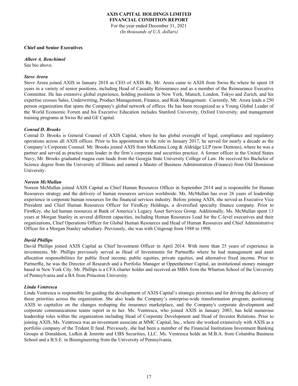## **AXIS CAPITAL HOLDINGS LIMITED FINANCIAL CONDITION REPORT** For the year ended December 31, 2021 *(In thousands of U.S. dollars)*

#### **Chief and Senior Executives**

*Albert A. Benchimol*  See bio above.

#### *Steve Arora*

Steve Arora joined AXIS in January 2018 as CEO of AXIS Re. Mr. Arora came to AXIS from Swiss Re where he spent 18 years in a variety of senior positions, including Head of Casualty Reinsurance and as a member of the Reinsurance Executive Committee. He has extensive global experience, holding positions in New York, Munich, London, Tokyo and Zurich, and his expertise crosses Sales, Underwriting, Product Management, Finance, and Risk Management. Currently, Mr. Arora leads a 250 person organization that spans the Company's global network of offices. He has been recognized as a Young Global Leader of the World Economic Forum and his Executive Education includes Stanford University, Oxford University, and management training programs at Swiss Re and GE Capital.

#### *Conrad D. Brooks*

Conrad D. Brooks is General Counsel of AXIS Capital, where he has global oversight of legal, compliance and regulatory operations across all AXIS offices. Prior to his appointment to the role in January 2017, he served for nearly a decade as the Company's Corporate Counsel. Mr. Brooks joined AXIS from McKenna Long & Aldridge LLP (now Dentons), where he was a partner and served as practice team leader in the firm's corporate and securities practice. A former officer in the United States Navy, Mr. Brooks graduated magna cum laude from the Georgia State University College of Law. He received his Bachelor of Science degree from the University of Illinois and earned a Master of Business Administration (Finance) from Old Dominion University.

#### *Noreen McMullan*

Noreen McMullan joined AXIS Capital as Chief Human Resources Officer in September 2014 and is responsible for Human Resources strategy and the delivery of human resources services worldwide. Ms. McMullan has over 26 years of leadership experience in corporate human resources for the financial services industry. Before joining AXIS, she served as Executive Vice President and Chief Human Resources Officer for FirstKey Holdings, a diversified specialty finance company. Prior to FirstKey, she led human resources at Bank of America's Legacy Asset Services Group. Additionally, Ms. McMullan spent 13 years at Morgan Stanley in several different capacities, including Human Resources Lead for the C-level executives and their organizations, Chief Operations Officer for Global Human Resources and Head of Human Resources and Chief Administrative Officer for a Morgan Stanley subsidiary. Previously, she was with Citigroup from 1988 to 1998.

#### *David Phillips*

David Phillips joined AXIS Capital as Chief Investment Officer in April 2014. With more than 25 years of experience in investments, Mr. Phillips previously served as Head of Investments for PartnerRe where he had management and asset allocation responsibilities for public fixed income, public equities, private equities, and alternative fixed income. Prior to PartnerRe, he was the Director of Research and a Portfolio Manager at Oppenheimer Capital, an institutional money manager based in New York City. Mr. Phillips is a CFA charter holder and received an MBA from the Wharton School of the University of Pennsylvania and a BA from Princeton University.

#### *Linda Ventresca*

Linda Ventresca is responsible for guiding the development of AXIS Capital's strategic priorities and for driving the delivery of those priorities across the organization. She also leads the Company's enterprise-wide transformation program, positioning AXIS to capitalize on the changes reshaping the insurance marketplace, and the Company's corporate development and corporate communications teams report in to her. Ms. Ventresca, who joined AXIS in January 2003, has held numerous leadership roles within the organization including Head of Corporate Development and Head of Investor Relations. Prior to joining AXIS, Ms. Ventresca was an investment associate at MMC Capital, Inc., where she worked extensively with AXIS as a portfolio company of the Trident II fund. Previously, she had been a member of the Financial Institutions Investment Banking Groups at Donaldson, Lufkin & Jenrette and UBS Securities, LLC. Ms. Ventresca holds an M.B.A. from Columbia Business School and a B.S.E. in Bioengineering from the University of Pennsylvania.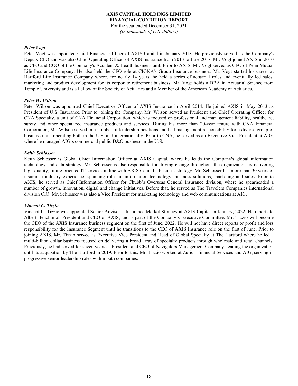For the year ended December 31, 2021 *(In thousands of U.S. dollars)*

### *Peter Vogt*

Peter Vogt was appointed Chief Financial Officer of AXIS Capital in January 2018. He previously served as the Company's Deputy CFO and was also Chief Operating Officer of AXIS Insurance from 2013 to June 2017. Mr. Vogt joined AXIS in 2010 as CFO and COO of the Company's Accident & Health business unit. Prior to AXIS, Mr. Vogt served as CFO of Penn Mutual Life Insurance Company. He also held the CFO role at CIGNA's Group Insurance business. Mr. Vogt started his career at Hartford Life Insurance Company where, for nearly 14 years, he held a series of actuarial roles and eventually led sales, marketing and product development for its corporate retirement business. Mr. Vogt holds a BBA in Actuarial Science from Temple University and is a Fellow of the Society of Actuaries and a Member of the American Academy of Actuaries.

#### *Peter W. Wilson*

Peter Wilson was appointed Chief Executive Officer of AXIS Insurance in April 2014. He joined AXIS in May 2013 as President of U.S. Insurance. Prior to joining the Company, Mr. Wilson served as President and Chief Operating Officer for CNA Specialty, a unit of CNA Financial Corporation, which is focused on professional and management liability, healthcare, surety and other specialized insurance products and services. During his more than 20-year tenure with CNA Financial Corporation, Mr. Wilson served in a number of leadership positions and had management responsibility for a diverse group of business units operating both in the U.S. and internationally. Prior to CNA, he served as an Executive Vice President at AIG, where he managed AIG's commercial public D&O business in the U.S.

#### *Keith Schlosser*

Keith Schlosser is Global Chief Information Officer at AXIS Capital, where he leads the Company's global information technology and data strategy. Mr. Schlosser is also responsible for driving change throughout the organization by delivering high-quality, future-oriented IT services in line with AXIS Capital's business strategy. Mr. Schlosser has more than 30 years of insurance industry experience, spanning roles in information technology, business solutions, marketing and sales. Prior to AXIS, he served as Chief Information Officer for Chubb's Overseas General Insurance division, where he spearheaded a number of growth, innovation, digital and change initiatives. Before that, he served as The Travelers Companies international division CIO. Mr. Schlosser was also a Vice President for marketing technology and web communications at AIG.

## *Vincent C. Tizzio*

Vincent C. Tizzio was appointed Senior Advisor – Insurance Market Strategy at AXIS Capital in January, 2022. He reports to Albert Benchimol, President and CEO of AXIS, and is part of the Company's Executive Committee. Mr. Tizzio will become the CEO of the AXIS Insurance business segment on the first of June, 2022. He will not have direct reports or profit and loss responsibility for the Insurance Segment until he transitions to the CEO of AXIS Insurance role on the first of June. Prior to joining AXIS, Mr. Tizzio served as Executive Vice President and Head of Global Specialty at The Hartford where he led a multi-billion dollar business focused on delivering a broad array of specialty products through wholesale and retail channels. Previously, he had served for seven years as President and CEO of Navigators Management Company, leading the organization until its acquisition by The Hartford in 2019. Prior to this, Mr. Tizzio worked at Zurich Financial Services and AIG, serving in progressive senior leadership roles within both companies.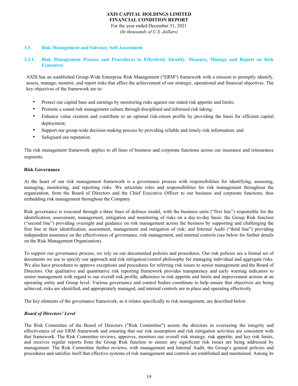For the year ended December 31, 2021 *(In thousands of U.S. dollars)*

## **3.3. Risk Management and Solvency Self-Assessment**

## **3.3.1. Risk Management Process and Procedures to Effectively Identify, Measure, Manage and Report on Risk Exposures**

AXIS has an established Group-Wide Enterprise Risk Management ("ERM") framework with a mission to promptly identify, assess, manage, monitor, and report risks that affect the achievement of our strategic, operational and financial objectives. The key objectives of the framework are to:

- Protect our capital base and earnings by monitoring risks against our stated risk appetite and limits;
- Promote a sound risk management culture through disciplined and informed risk taking;
- Enhance value creation and contribute to an optimal risk-return profile by providing the basis for efficient capital deployment;
- Support our group-wide decision making process by providing reliable and timely risk information; and
- Safeguard our reputation.

The risk management framework applies to all lines of business and corporate functions across our insurance and reinsurance segments.

#### **Risk Governance**

At the heart of our risk management framework is a governance process with responsibilities for identifying, assessing, managing, monitoring, and reporting risks. We articulate roles and responsibilities for risk management throughout the organization, from the Board of Directors and the Chief Executive Officer to our business and corporate functions, thus embedding risk management throughout the Company.

Risk governance is executed through a three lines of defence model, with the business units ("first line") responsible for the identification, assessment, management, mitigation and monitoring of risks on a day-to-day basis; the Group Risk function ("second line") providing oversight and guidance on risk management across the business by supporting and challenging the first line in their identification, assessment, management and mitigation of risk; and Internal Audit ("third line") providing independent assurance on the effectiveness of governance, risk management, and internal controls (see below for further details on the Risk Management Organization).

To support our governance process, we rely on our documented policies and procedures. Our risk policies are a formal set of documents we use to specify our approach and risk mitigation/control philosophy for managing individual and aggregate risks. We also have procedures to approve exceptions and procedures for referring risk issues to senior management and the Board of Directors. Our qualitative and quantitative risk reporting framework provides transparency and early warning indicators to senior management with regard to our overall risk profile, adherence to risk appetite and limits and improvement actions at an operating entity and Group level. Various governance and control bodies coordinate to help ensure that objectives are being achieved, risks are identified, and appropriately managed, and internal controls are in place and operating effectively.

The key elements of the governance framework, as it relates specifically to risk management, are described below.

# *Board of Directors' Level*

The Risk Committee of the Board of Directors ("Risk Committee") assists the directors in overseeing the integrity and effectiveness of our ERM framework and ensuring that our risk assumption and risk mitigation activities are consistent with that framework. The Risk Committee reviews, approves, monitors our overall risk strategy, risk appetite, and key risk limits, and receives regular reports from the Group Risk function to ensure any significant risk issues are being addressed by management. The Risk Committee further reviews, with management and Internal Audit, the Group's general policies and procedures and satisfies itself that effective systems of risk management and controls are established and maintained. Among its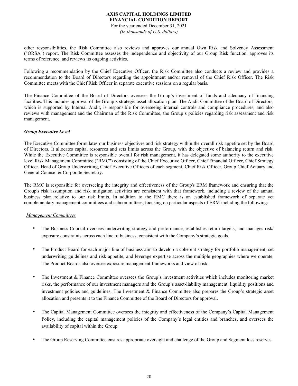For the year ended December 31, 2021 *(In thousands of U.S. dollars)*

other responsibilities, the Risk Committee also reviews and approves our annual Own Risk and Solvency Assessment ("ORSA") report. The Risk Committee assesses the independence and objectivity of our Group Risk function, approves its terms of reference, and reviews its ongoing activities.

Following a recommendation by the Chief Executive Officer, the Risk Committee also conducts a review and provides a recommendation to the Board of Directors regarding the appointment and/or removal of the Chief Risk Officer. The Risk Committee meets with the Chief Risk Officer in separate executive sessions on a regular basis.

The Finance Committee of the Board of Directors oversees the Group's investment of funds and adequacy of financing facilities. This includes approval of the Group's strategic asset allocation plan. The Audit Committee of the Board of Directors, which is supported by Internal Audit, is responsible for overseeing internal controls and compliance procedures, and also reviews with management and the Chairman of the Risk Committee, the Group's policies regarding risk assessment and risk management.

# *Group Executive Level*

The Executive Committee formulates our business objectives and risk strategy within the overall risk appetite set by the Board of Directors. It allocates capital resources and sets limits across the Group, with the objective of balancing return and risk. While the Executive Committee is responsible overall for risk management, it has delegated some authority to the executive level Risk Management Committee ("RMC") consisting of the Chief Executive Officer, Chief Financial Officer, Chief Strategy Officer, Head of Group Underwriting, Chief Executive Officers of each segment, Chief Risk Officer, Group Chief Actuary and General Counsel & Corporate Secretary.

The RMC is responsible for overseeing the integrity and effectiveness of the Group's ERM framework and ensuring that the Group's risk assumption and risk mitigation activities are consistent with that framework, including a review of the annual business plan relative to our risk limits. In addition to the RMC there is an established framework of separate yet complementary management committees and subcommittees, focusing on particular aspects of ERM including the following:

## *Management Committees*

- The Business Council oversees underwriting strategy and performance, establishes return targets, and manages risk/ exposure constraints across each line of business, consistent with the Company's strategic goals.
- The Product Board for each major line of business aim to develop a coherent strategy for portfolio management, set underwriting guidelines and risk appetite, and leverage expertise across the multiple geographies where we operate. The Product Boards also oversee exposure management frameworks and view of risk.
- The Investment & Finance Committee oversees the Group's investment activities which includes monitoring market risks, the performance of our investment managers and the Group's asset-liability management, liquidity positions and investment policies and guidelines. The Investment & Finance Committee also prepares the Group's strategic asset allocation and presents it to the Finance Committee of the Board of Directors for approval.
- The Capital Management Committee oversees the integrity and effectiveness of the Company's Capital Management Policy, including the capital management policies of the Company's legal entities and branches, and oversees the availability of capital within the Group.
- The Group Reserving Committee ensures appropriate oversight and challenge of the Group and Segment loss reserves.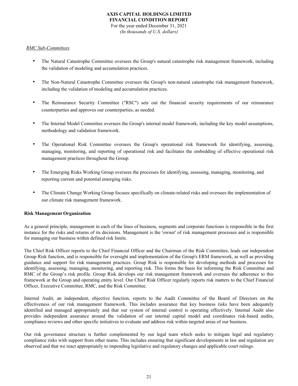# **AXIS CAPITAL HOLDINGS LIMITED FINANCIAL CONDITION REPORT** For the year ended December 31, 2021

*(In thousands of U.S. dollars)*

## *RMC Sub-Committees*

- The Natural Catastrophe Committee oversees the Group's natural catastrophe risk management framework, including the validation of modeling and accumulation practices.
- The Non-Natural Catastrophe Committee oversees the Group's non-natural catastrophe risk management framework, including the validation of modeling and accumulation practices.
- The Reinsurance Security Committee ("RSC") sets out the financial security requirements of our reinsurance counterparties and approves our counterparties, as needed.
- The Internal Model Committee oversees the Group's internal model framework, including the key model assumptions, methodology and validation framework.
- The Operational Risk Committee oversees the Group's operational risk framework for identifying, assessing, managing, monitoring, and reporting of operational risk and facilitates the embedding of effective operational risk management practices throughout the Group.
- The Emerging Risks Working Group oversees the processes for identifying, assessing, managing, monitoring, and reporting current and potential emerging risks.
- The Climate Change Working Group focuses specifically on climate-related risks and oversees the implementation of our climate risk management framework.

## **Risk Management Organization**

As a general principle, management in each of the lines of business, segments and corporate functions is responsible in the first instance for the risks and returns of its decisions. Management is the 'owner' of risk management processes and is responsible for managing our business within defined risk limits.

The Chief Risk Officer reports to the Chief Financial Officer and the Chairman of the Risk Committee, leads our independent Group Risk function, and is responsible for oversight and implementation of the Group's ERM framework, as well as providing guidance and support for risk management practices. Group Risk is responsible for developing methods and processes for identifying, assessing, managing, monitoring, and reporting risk. This forms the basis for informing the Risk Committee and RMC of the Group's risk profile. Group Risk develops our risk management framework and oversees the adherence to this framework at the Group and operating entity level. Our Chief Risk Officer regularly reports risk matters to the Chief Financial Officer, Executive Committee, RMC, and the Risk Committee.

Internal Audit, an independent, objective function, reports to the Audit Committee of the Board of Directors on the effectiveness of our risk management framework. This includes assurance that key business risks have been adequately identified and managed appropriately and that our system of internal control is operating effectively. Internal Audit also provides independent assurance around the validation of our internal capital model and coordinates risk-based audits, compliance reviews and other specific initiatives to evaluate and address risk within targeted areas of our business.

Our risk governance structure is further complemented by our legal team which seeks to mitigate legal and regulatory compliance risks with support from other teams. This includes ensuring that significant developments in law and regulation are observed and that we react appropriately to impending legislative and regulatory changes and applicable court rulings.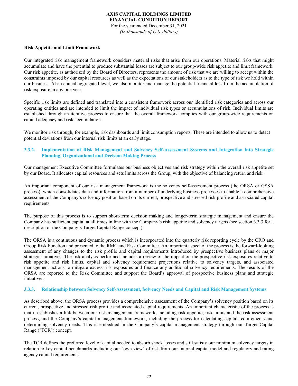For the year ended December 31, 2021 *(In thousands of U.S. dollars)*

#### **Risk Appetite and Limit Framework**

Our integrated risk management framework considers material risks that arise from our operations. Material risks that might accumulate and have the potential to produce substantial losses are subject to our group-wide risk appetite and limit framework. Our risk appetite, as authorized by the Board of Directors, represents the amount of risk that we are willing to accept within the constraints imposed by our capital resources as well as the expectations of our stakeholders as to the type of risk we hold within our business. At an annual aggregated level, we also monitor and manage the potential financial loss from the accumulation of risk exposure in any one year.

Specific risk limits are defined and translated into a consistent framework across our identified risk categories and across our operating entities and are intended to limit the impact of individual risk types or accumulations of risk. Individual limits are established through an iterative process to ensure that the overall framework complies with our group-wide requirements on capital adequacy and risk accumulation.

We monitor risk through, for example, risk dashboards and limit consumption reports. These are intended to allow us to detect potential deviations from our internal risk limits at an early stage.

## **3.3.2. Implementation of Risk Management and Solvency Self-Assessment Systems and Integration into Strategic Planning, Organizational and Decision Making Process**

Our management Executive Committee formulates our business objectives and risk strategy within the overall risk appetite set by our Board. It allocates capital resources and sets limits across the Group, with the objective of balancing return and risk.

An important component of our risk management framework is the solvency self-assessment process (the ORSA or GSSA process), which consolidates data and information from a number of underlying business processes to enable a comprehensive assessment of the Company's solvency position based on its current, prospective and stressed risk profile and associated capital requirements.

The purpose of this process is to support short-term decision making and longer-term strategic management and ensure the Company has sufficient capital at all times in line with the Company's risk appetite and solvency targets (see section 3.3.3 for a description of the Company's Target Capital Range concept).

The ORSA is a continuous and dynamic process which is incorporated into the quarterly risk reporting cycle by the CRO and Group Risk Function and presented to the RMC and Risk Committee. An important aspect of the process is the forward-looking assessment of any changes to the risk profile and capital requirements introduced by prospective business plans or major strategic initiatives. The risk analysis performed includes a review of the impact on the prospective risk exposures relative to risk appetite and risk limits, capital and solvency requirement projections relative to solvency targets, and associated management actions to mitigate excess risk exposures and finance any additional solvency requirements. The results of the ORSA are reported to the Risk Committee and support the Board's approval of prospective business plans and strategic initiatives.

## **3.3.3. Relationship between Solvency Self-Assessment, Solvency Needs and Capital and Risk Management Systems**

As described above, the ORSA process provides a comprehensive assessment of the Company's solvency position based on its current, prospective and stressed risk profile and associated capital requirements. An important characteristic of the process is that it establishes a link between our risk management framework, including risk appetite, risk limits and the risk assessment process, and the Company's capital management framework, including the process for calculating capital requirements and determining solvency needs. This is embedded in the Company's capital management strategy through our Target Capital Range ("TCR") concept.

The TCR defines the preferred level of capital needed to absorb shock losses and still satisfy our minimum solvency targets in relation to key capital benchmarks including our "own view" of risk from our internal capital model and regulatory and rating agency capital requirements: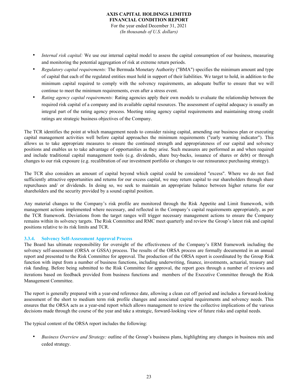## **AXIS CAPITAL HOLDINGS LIMITED FINANCIAL CONDITION REPORT** For the year ended December 31, 2021 *(In thousands of U.S. dollars)*

- *Internal risk capital:* We use our internal capital model to assess the capital consumption of our business, measuring and monitoring the potential aggregation of risk at extreme return periods.
- *Regulatory capital requirements:* The Bermuda Monetary Authority ("BMA") specifies the minimum amount and type of capital that each of the regulated entities must hold in support of their liabilities. We target to hold, in addition to the minimum capital required to comply with the solvency requirements, an adequate buffer to ensure that we will continue to meet the minimum requirements, even after a stress event.
- *Rating agency capital requirements:* Rating agencies apply their own models to evaluate the relationship between the required risk capital of a company and its available capital resources. The assessment of capital adequacy is usually an integral part of the rating agency process. Meeting rating agency capital requirements and maintaining strong credit ratings are strategic business objectives of the Company.

The TCR identifies the point at which management needs to consider raising capital, amending our business plan or executing capital management activities well before capital approaches the minimum requirements ("early warning indicator"). This allows us to take appropriate measures to ensure the continued strength and appropriateness of our capital and solvency positions and enables us to take advantage of opportunities as they arise. Such measures are performed as and when required and include traditional capital management tools (e.g. dividends, share buy-backs, issuance of shares or debt) or through changes to our risk exposure (e.g. recalibration of our investment portfolio or changes to our reinsurance purchasing strategy).

The TCR also considers an amount of capital beyond which capital could be considered "excess". Where we do not find sufficiently attractive opportunities and returns for our excess capital, we may return capital to our shareholders through share repurchases and/ or dividends. In doing so, we seek to maintain an appropriate balance between higher returns for our shareholders and the security provided by a sound capital position.

Any material changes to the Company's risk profile are monitored through the Risk Appetite and Limit framework, with management actions implemented where necessary, and reflected in the Company's capital requirements appropriately, as per the TCR framework. Deviations from the target ranges will trigger necessary management actions to ensure the Company remains within its solvency targets. The Risk Committee and RMC meet quarterly and review the Group's latest risk and capital positions relative to its risk limits and TCR.

## **3.3.4. Solvency Self-Assessment Approval Process**

The Board has ultimate responsibility for oversight of the effectiveness of the Company's ERM framework including the solvency self-assessment (ORSA or GSSA) process. The results of the ORSA process are formally documented in an annual report and presented to the Risk Committee for approval. The production of the ORSA report is coordinated by the Group Risk function with input from a number of business functions, including underwriting, finance, investments, actuarial, treasury and risk funding. Before being submitted to the Risk Committee for approval, the report goes through a number of reviews and iterations based on feedback provided from business functions and members of the Executive Committee through the Risk Management Committee.

The report is generally prepared with a year-end reference date, allowing a clean cut off period and includes a forward-looking assessment of the short to medium term risk profile changes and associated capital requirements and solvency needs. This ensures that the ORSA acts as a year-end report which allows management to review the collective implications of the various decisions made through the course of the year and take a strategic, forward-looking view of future risks and capital needs.

The typical content of the ORSA report includes the following:

• *Business Overview and Strategy:* outline of the Group's business plans, highlighting any changes in business mix and ceded strategy.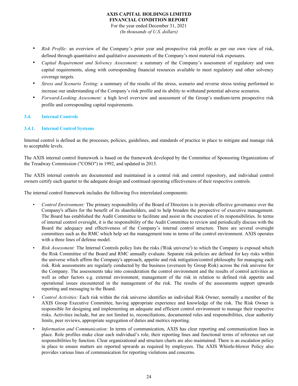# **AXIS CAPITAL HOLDINGS LIMITED FINANCIAL CONDITION REPORT** For the year ended December 31, 2021

*(In thousands of U.S. dollars)*

- *Risk Profile:* an overview of the Company's prior year and prospective risk profile as per our own view of risk, defined through quantitative and qualitative assessments of the Company's most material risk exposures.
- *Capital Requirement and Solvency Assessment:* a summary of the Company's assessment of regulatory and own capital requirements, along with corresponding financial resources available to meet regulatory and other solvency coverage targets.
- *Stress and Scenario Testing:* a summary of the results of the stress, scenario and reverse stress testing performed to increase our understanding of the Company's risk profile and its ability to withstand potential adverse scenarios.
- *Forward-Looking Assessment:* a high level overview and assessment of the Group's medium-term prospective risk profile and corresponding capital requirements.

## **3.4. Internal Controls**

## **3.4.1. Internal Control Systems**

Internal control is defined as the processes, policies, guidelines, and standards of practice in place to mitigate and manage risk to acceptable levels.

The AXIS internal control framework is based on the framework developed by the Committee of Sponsoring Organizations of the Treadway Commission ("COSO") in 1992, and updated in 2013.

The AXIS internal controls are documented and maintained in a central risk and control repository, and individual control owners certify each quarter to the adequate design and continued operating effectiveness of their respective controls.

The internal control framework includes the following five interrelated components:

- *Control Environment:* The primary responsibility of the Board of Directors is to provide effective governance over the Company's affairs for the benefit of its shareholders, and to help broaden the perspective of executive management. The Board has established the Audit Committee to facilitate and assist in the execution of its responsibilities. In terms of internal control oversight, it is the responsibility of the Audit Committee to review and periodically discuss with the Board the adequacy and effectiveness of the Company's internal control structure. There are several oversight committees such as the RMC which help set the management tone in terms of the control environment. AXIS operates with a three lines of defense model.
- *Risk Assessment:* The Internal Controls policy lists the risks ('Risk universe') to which the Company is exposed which the Risk Committee of the Board and RMC annually evaluate. Separate risk policies are defined for key risks within the universe which affirm the Company's approach, appetite and risk mitigation/control philosophy for managing each risk. Risk assessments are regularly conducted by the business (overseen by Group Risk) across the risk universe for the Company. The assessments take into consideration the control environment and the results of control activities as well as other factors e.g. external environment, management of the risk in relation to defined risk appetite and operational issues encountered in the management of the risk. The results of the assessments support upwards reporting and messaging to the Board.
- *Control Activities:* Each risk within the risk universe identifies an individual Risk Owner, normally a member of the AXIS Group Executive Committee, having appropriate experience and knowledge of the risk. The Risk Owner is responsible for designing and implementing an adequate and efficient control environment to manage their respective risks. Activities include, but are not limited to, reconciliations, documented roles and responsibilities, clear authority limits, peer reviews, appropriate segregation of duties and metrics reporting.
- *Information and Communication:* In terms of communication, AXIS has clear reporting and communication lines in place. Role profiles make clear each individual's role, their reporting lines and functional terms of reference set out responsibilities by function. Clear organizational and structure charts are also maintained. There is an escalation policy in place to ensure matters are reported upwards as required by employees. The AXIS Whistle-blower Policy also provides various lines of communication for reporting violations and concerns.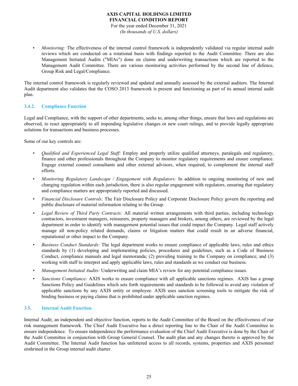For the year ended December 31, 2021 *(In thousands of U.S. dollars)*

*Monitoring:* The effectiveness of the internal control framework is independently validated via regular internal audit reviews which are conducted on a rotational basis with findings reported to the Audit Committee. There are also Management Initiated Audits ("MIAs") done on claims and underwriting transactions which are reported to the Management Audit Committee. There are various monitoring activities performed by the second line of defence, Group Risk and Legal/Compliance.

The internal control framework is regularly reviewed and updated and annually assessed by the external auditors. The Internal Audit department also validates that the COSO 2013 framework is present and functioning as part of its annual internal audit plan.

## **3.4.2. Compliance Function**

Legal and Compliance, with the support of other departments, seeks to, among other things, ensure that laws and regulations are observed, to react appropriately to all impending legislative changes or new court rulings, and to provide legally appropriate solutions for transactions and business processes.

Some of our key controls are:

- *Qualified and Experienced Legal Staff:* Employ and properly utilize qualified attorneys, paralegals and regulatory, finance and other professionals throughout the Company to monitor regulatory requirements and ensure compliance. Engage external counsel consultants and other external advisors, when required, to complement the internal staff efforts.
- *Monitoring Regulatory Landscape / Engagement with Regulators:* In addition to ongoing monitoring of new and changing regulation within each jurisdiction, there is also regular engagement with regulators, ensuring that regulatory and compliance matters are appropriately reported and discussed.
- *Financial Disclosure Controls:* The Fair Disclosure Policy and Corporate Disclosure Policy govern the reporting and public disclosure of material information relating to the Group.
- *Legal Review of Third Party Contracts:* All material written arrangements with third parties, including technology contractors, investment managers, reinsurers, property managers and brokers, among others, are reviewed by the legal department in order to identify with management potential issues that could impact the Company. Legal staff actively manage all non-policy related demands, claims or litigation matters that could result in an adverse financial, reputational or other impact to the Company.
- *Business Conduct Standards:* The legal department works to ensure compliance of applicable laws, rules and ethics standards by (1) developing and implementing policies, procedures and guidelines, such as a Code of Business Conduct, compliance manuals and legal memoranda; (2) providing training to the Company on compliance; and (3) working with staff to interpret and apply applicable laws, rules and standards as we conduct our business.
- *Management Initiated Audits:* Underwriting and claim MIA's review for any potential compliance issues.
- *Sanctions Compliance:* AXIS works to ensure compliance with all applicable sanctions regimes. AXIS has a group Sanctions Policy and Guidelines which sets forth requirements and standards to be followed to avoid any violation of applicable sanctions by any AXIS entity or employee. AXIS uses sanction screening tools to mitigate the risk of binding business or paying claims that is prohibited under applicable sanction regimes.

## **3.5. Internal Audit Function**

Internal Audit, an independent and objective function, reports to the Audit Committee of the Board on the effectiveness of our risk management framework. The Chief Audit Executive has a direct reporting line to the Chair of the Audit Committee to ensure independence. To ensure independence the performance evaluation of the Chief Audit Executive is done by the Chair of the Audit Committee in conjunction with Group General Counsel. The audit plan and any changes thereto is approved by the Audit Committee. The Internal Audit function has unfettered access to all records, systems, properties and AXIS personnel enshrined in the Group internal audit charter.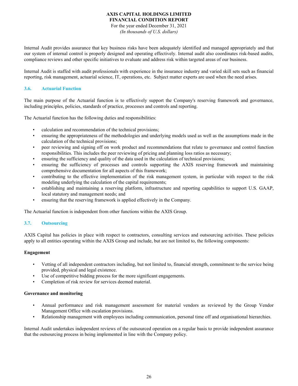For the year ended December 31, 2021 *(In thousands of U.S. dollars)*

Internal Audit provides assurance that key business risks have been adequately identified and managed appropriately and that our system of internal control is properly designed and operating effectively. Internal audit also coordinates risk-based audits, compliance reviews and other specific initiatives to evaluate and address risk within targeted areas of our business.

Internal Audit is staffed with audit professionals with experience in the insurance industry and varied skill sets such as financial reporting, risk management, actuarial science, IT, operations, etc. Subject matter experts are used when the need arises.

## **3.6. Actuarial Function**

The main purpose of the Actuarial function is to effectively support the Company's reserving framework and governance, including principles, policies, standards of practice, processes and controls and reporting.

The Actuarial function has the following duties and responsibilities:

- calculation and recommendation of the technical provisions;
- ensuring the appropriateness of the methodologies and underlying models used as well as the assumptions made in the calculation of the technical provisions;
- peer reviewing and signing off on work product and recommendations that relate to governance and control function responsibilities. This includes the peer reviewing of pricing and planning loss ratios as necessary;
- ensuring the sufficiency and quality of the data used in the calculation of technical provisions;
- ensuring the sufficiency of processes and controls supporting the AXIS reserving framework and maintaining comprehensive documentation for all aspects of this framework;
- contributing to the effective implementation of the risk management system, in particular with respect to the risk modeling underlying the calculation of the capital requirements;
- establishing and maintaining a reserving platform, infrastructure and reporting capabilities to support U.S. GAAP, local statutory and management needs; and
- ensuring that the reserving framework is applied effectively in the Company.

The Actuarial function is independent from other functions within the AXIS Group.

## **3.7. Outsourcing**

AXIS Capital has policies in place with respect to contractors, consulting services and outsourcing activities. These policies apply to all entities operating within the AXIS Group and include, but are not limited to, the following components:

## **Engagement**

- Vetting of all independent contractors including, but not limited to, financial strength, commitment to the service being provided, physical and legal existence.
- Use of competitive bidding process for the more significant engagements.
- Completion of risk review for services deemed material.

## **Governance and monitoring**

- Annual performance and risk management assessment for material vendors as reviewed by the Group Vendor Management Office with escalation provisions.
- Relationship management with employees including communication, personal time off and organisational hierarchies.

Internal Audit undertakes independent reviews of the outsourced operation on a regular basis to provide independent assurance that the outsourcing process in being implemented in line with the Company policy.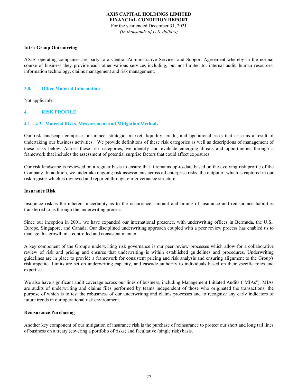For the year ended December 31, 2021 *(In thousands of U.S. dollars)*

#### **Intra-Group Outsourcing**

AXIS' operating companies are party to a Central Administrative Services and Support Agreement whereby in the normal course of business they provide each other various services including, but not limited to: internal audit, human resources, information technology, claims management and risk management.

#### **3.8. Other Material Information**

Not applicable.

## **4. RISK PROFILE**

#### **4.1. - 4.3 . Material Risks, Measurement and Mitigation Methods**

Our risk landscape comprises insurance, strategic, market, liquidity, credit, and operational risks that arise as a result of undertaking our business activities. We provide definitions of these risk categories as well as descriptions of management of these risks below. Across these risk categories, we identify and evaluate emerging threats and opportunities through a framework that includes the assessment of potential surprise factors that could affect exposures.

Our risk landscape is reviewed on a regular basis to ensure that it remains up-to-date based on the evolving risk profile of the Company. In addition, we undertake ongoing risk assessments across all enterprise risks, the output of which is captured in our risk register which is reviewed and reported through our governance structure.

#### **Insurance Risk**

Insurance risk is the inherent uncertainty as to the occurrence, amount and timing of insurance and reinsurance liabilities transferred to us through the underwriting process.

Since our inception in 2001, we have expanded our international presence, with underwriting offices in Bermuda, the U.S., Europe, Singapore, and Canada. Our disciplined underwriting approach coupled with a peer review process has enabled us to manage this growth in a controlled and consistent manner.

A key component of the Group's underwriting risk governance is our peer review processes which allow for a collaborative review of risk and pricing and ensures that underwriting is within established guidelines and procedures. Underwriting guidelines are in place to provide a framework for consistent pricing and risk analysis and ensuring alignment to the Group's risk appetite. Limits are set on underwriting capacity, and cascade authority to individuals based on their specific roles and expertise.

We also have significant audit coverage across our lines of business, including Management Initiated Audits ("MIAs"). MIAs are audits of underwriting and claims files performed by teams independent of those who originated the transactions, the purpose of which is to test the robustness of our underwriting and claims processes and to recognize any early indicators of future trends in our operational risk environment.

#### **Reinsurance Purchasing**

Another key component of our mitigation of insurance risk is the purchase of reinsurance to protect our short and long tail lines of business on a treaty (covering a portfolio of risks) and facultative (single risk) basis.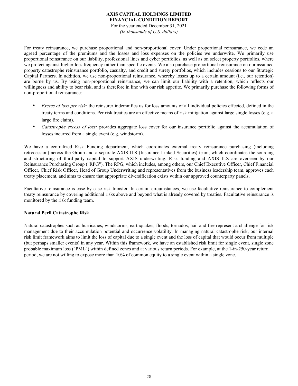For the year ended December 31, 2021 *(In thousands of U.S. dollars)*

For treaty reinsurance, we purchase proportional and non-proportional cover. Under proportional reinsurance, we cede an agreed percentage of the premiums and the losses and loss expenses on the policies we underwrite. We primarily use proportional reinsurance on our liability, professional lines and cyber portfolios, as well as on select property portfolios, where we protect against higher loss frequency rather than specific events. We also purchase proportional reinsurance on our assumed property catastrophe reinsurance portfolio, casualty, and credit and surety portfolios, which includes cessions to our Strategic Capital Partners. In addition, we use non-proportional reinsurance, whereby losses up to a certain amount (i.e., our retention) are borne by us. By using non-proportional reinsurance, we can limit our liability with a retention, which reflects our willingness and ability to bear risk, and is therefore in line with our risk appetite. We primarily purchase the following forms of non-proportional reinsurance:

- *Excess of loss per risk:* the reinsurer indemnifies us for loss amounts of all individual policies effected, defined in the treaty terms and conditions. Per risk treaties are an effective means of risk mitigation against large single losses (e.g. a large fire claim).
- *Catastrophe excess of loss:* provides aggregate loss cover for our insurance portfolio against the accumulation of losses incurred from a single event (e.g. windstorm).

We have a centralized Risk Funding department, which coordinates external treaty reinsurance purchasing (including retrocession) across the Group and a separate AXIS ILS (Insurance Linked Securities) team, which coordinates the sourcing and structuring of third-party capital to support AXIS underwriting. Risk funding and AXIS ILS are overseen by our Reinsurance Purchasing Group ("RPG"). The RPG, which includes, among others, our Chief Executive Officer, Chief Financial Officer, Chief Risk Officer, Head of Group Underwriting and representatives from the business leadership team, approves each treaty placement, and aims to ensure that appropriate diversification exists within our approved counterparty panels.

Facultative reinsurance is case by case risk transfer. In certain circumstances, we use facultative reinsurance to complement treaty reinsurance by covering additional risks above and beyond what is already covered by treaties. Facultative reinsurance is monitored by the risk funding team.

## **Natural Peril Catastrophe Risk**

Natural catastrophes such as hurricanes, windstorms, earthquakes, floods, tornados, hail and fire represent a challenge for risk management due to their accumulation potential and occurrence volatility. In managing natural catastrophe risk, our internal risk limit framework aims to limit the loss of capital due to a single event and the loss of capital that would occur from multiple (but perhaps smaller events) in any year. Within this framework, we have an established risk limit for single event, single zone probable maximum loss ("PML") within defined zones and at various return periods. For example, at the 1-in-250-year return period, we are not willing to expose more than 10% of common equity to a single event within a single zone.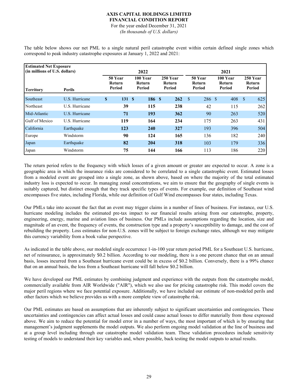For the year ended December 31, 2021 *(In thousands of U.S. dollars)*

The table below shows our net PML to a single natural peril catastrophe event within certain defined single zones which correspond to peak industry catastrophe exposures at January 1, 2022 and 2021:

| <b>Estimated Net Exposure</b><br>(in millions of U.S. dollars)<br>2022<br>2021 |                |    |                             |                              |  |                                     |                                    |                                     |                              |  |
|--------------------------------------------------------------------------------|----------------|----|-----------------------------|------------------------------|--|-------------------------------------|------------------------------------|-------------------------------------|------------------------------|--|
| <b>Territory</b>                                                               | <b>Perils</b>  |    | 50 Year<br>Return<br>Period | 100 Year<br>Return<br>Period |  | 250 Year<br><b>Return</b><br>Period | 50 Year<br><b>Return</b><br>Period | 100 Year<br><b>Return</b><br>Period | 250 Year<br>Return<br>Period |  |
| Southeast                                                                      | U.S. Hurricane | \$ | 131                         | 186S<br>- \$                 |  | 262                                 | 286 \$<br>$\mathbf{\hat{s}}$       | 408                                 | $\mathbf{\hat{s}}$<br>625    |  |
| Northeast                                                                      | U.S. Hurricane |    | 39                          | 115                          |  | 238                                 | 42                                 | 115                                 | 262                          |  |
| Mid-Atlantic                                                                   | U.S. Hurricane |    | 71                          | 193                          |  | 362                                 | 90                                 | 263                                 | 520                          |  |
| Gulf of Mexico                                                                 | U.S. Hurricane |    | 119                         | 164                          |  | 234                                 | 175                                | 263                                 | 431                          |  |
| California                                                                     | Earthquake     |    | 123                         | 240                          |  | 327                                 | 193                                | 396                                 | 504                          |  |
| Europe                                                                         | Windstorm      |    | 90                          | 124                          |  | 165                                 | 136                                | 182                                 | 240                          |  |
| Japan                                                                          | Earthquake     |    | 82                          | 204                          |  | 318                                 | 103                                | 179                                 | 336                          |  |
| Japan                                                                          | Windstorm      |    | 75                          | 144                          |  | 166                                 | 113                                | 186                                 | 220                          |  |

The return period refers to the frequency with which losses of a given amount or greater are expected to occur. A zone is a geographic area in which the insurance risks are considered to be correlated to a single catastrophic event. Estimated losses from a modeled event are grouped into a single zone, as shown above, based on where the majority of the total estimated industry loss is expected to occur. In managing zonal concentrations, we aim to ensure that the geography of single events is suitably captured, but distinct enough that they track specific types of events. For example, our definition of Southeast wind encompasses five states, including Florida, while our definition of Gulf Wind encompasses four states, including Texas.

Our PMLs take into account the fact that an event may trigger claims in a number of lines of business. For instance, our U.S. hurricane modeling includes the estimated pre-tax impact to our financial results arising from our catastrophe, property, engineering, energy, marine and aviation lines of business. Our PMLs include assumptions regarding the location, size and magnitude of an event, the frequency of events, the construction type and a property's susceptibility to damage, and the cost of rebuilding the property. Loss estimates for non-U.S. zones will be subject to foreign exchange rates, although we may mitigate this currency variability from a book value perspective.

As indicated in the table above, our modeled single occurrence 1-in-100 year return period PML for a Southeast U.S. hurricane, net of reinsurance, is approximately \$0.2 billion. According to our modeling, there is a one percent chance that on an annual basis, losses incurred from a Southeast hurricane event could be in excess of \$0.2 billion. Conversely, there is a 99% chance that on an annual basis, the loss from a Southeast hurricane will fall below \$0.2 billion.

We have developed our PML estimates by combining judgment and experience with the outputs from the catastrophe model, commercially available from AIR Worldwide ("AIR"), which we also use for pricing catastrophe risk. This model covers the major peril regions where we face potential exposure. Additionally, we have included our estimate of non-modeled perils and other factors which we believe provides us with a more complete view of catastrophe risk.

Our PML estimates are based on assumptions that are inherently subject to significant uncertainties and contingencies. These uncertainties and contingencies can affect actual losses and could cause actual losses to differ materially from those expressed above. We aim to reduce the potential for model error in a number of ways, the most important of which is by ensuring that management's judgment supplements the model outputs. We also perform ongoing model validation at the line of business and at a group level including through our catastrophe model validation team. These validation procedures include sensitivity testing of models to understand their key variables and, where possible, back testing the model outputs to actual results.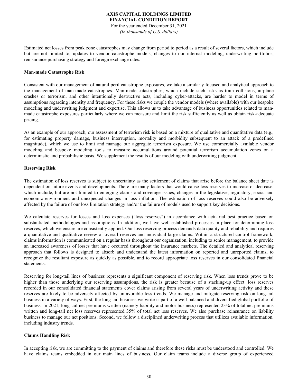## **AXIS CAPITAL HOLDINGS LIMITED FINANCIAL CONDITION REPORT** For the year ended December 31, 2021

*(In thousands of U.S. dollars)*

Estimated net losses from peak zone catastrophes may change from period to period as a result of several factors, which include but are not limited to, updates to vendor catastrophe models, changes to our internal modeling, underwriting portfolios, reinsurance purchasing strategy and foreign exchange rates.

#### **Man-made Catastrophe Risk**

Consistent with our management of natural peril catastrophe exposures, we take a similarly focused and analytical approach to the management of man-made catastrophes. Man-made catastrophes, which include such risks as train collisions, airplane crashes or terrorism, and other intentionally destructive acts, including cyber-attacks, are harder to model in terms of assumptions regarding intensity and frequency. For these risks we couple the vendor models (where available) with our bespoke modeling and underwriting judgment and expertise. This allows us to take advantage of business opportunities related to manmade catastrophe exposures particularly where we can measure and limit the risk sufficiently as well as obtain risk-adequate pricing.

As an example of our approach, our assessment of terrorism risk is based on a mixture of qualitative and quantitative data (e.g., for estimating property damage, business interruption, mortality and morbidity subsequent to an attack of a predefined magnitude), which we use to limit and manage our aggregate terrorism exposure. We use commercially available vendor modeling and bespoke modeling tools to measure accumulations around potential terrorism accumulation zones on a deterministic and probabilistic basis. We supplement the results of our modeling with underwriting judgment.

## **Reserving Risk**

The estimation of loss reserves is subject to uncertainty as the settlement of claims that arise before the balance sheet date is dependent on future events and developments. There are many factors that would cause loss reserves to increase or decrease, which include, but are not limited to emerging claims and coverage issues, changes in the legislative, regulatory, social and economic environment and unexpected changes in loss inflation. The estimation of loss reserves could also be adversely affected by the failure of our loss limitation strategy and/or the failure of models used to support key decisions.

We calculate reserves for losses and loss expenses ("loss reserves") in accordance with actuarial best practice based on substantiated methodologies and assumptions. In addition, we have well established processes in place for determining loss reserves, which we ensure are consistently applied. Our loss reserving process demands data quality and reliability and requires a quantitative and qualitative review of overall reserves and individual large claims. Within a structured control framework, claims information is communicated on a regular basis throughout our organization, including to senior management, to provide an increased awareness of losses that have occurred throughout the insurance markets. The detailed and analytical reserving approach that follows is designed to absorb and understand the latest information on reported and unreported claims, to recognize the resultant exposure as quickly as possible, and to record appropriate loss reserves in our consolidated financial statements.

Reserving for long-tail lines of business represents a significant component of reserving risk. When loss trends prove to be higher than those underlying our reserving assumptions, the risk is greater because of a stacking-up effect: loss reserves recorded in our consolidated financial statements cover claims arising from several years of underwriting activity and these reserves are likely to be adversely affected by unfavorable loss trends. We manage and mitigate reserving risk on long-tail business in a variety of ways. First, the long-tail business we write is part of a well-balanced and diversified global portfolio of business. In 2021, long-tail net premiums written (namely liability and motor business) represented 23% of total net premiums written and long-tail net loss reserves represented 35% of total net loss reserves. We also purchase reinsurance on liability business to manage our net positions. Second, we follow a disciplined underwriting process that utilizes available information, including industry trends.

## **Claims Handling Risk**

In accepting risk, we are committing to the payment of claims and therefore these risks must be understood and controlled. We have claims teams embedded in our main lines of business. Our claim teams include a diverse group of experienced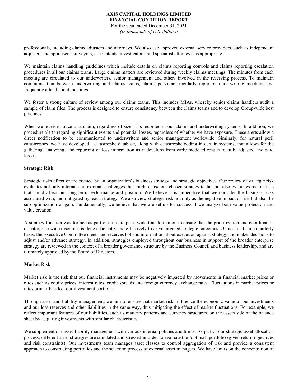For the year ended December 31, 2021 *(In thousands of U.S. dollars)*

professionals, including claims adjusters and attorneys. We also use approved external service providers, such as independent adjusters and appraisers, surveyors, accountants, investigators, and specialist attorneys, as appropriate.

We maintain claims handling guidelines which include details on claims reporting controls and claims reporting escalation procedures in all our claims teams. Large claims matters are reviewed during weekly claims meetings. The minutes from each meeting are circulated to our underwriters, senior management and others involved in the reserving process. To maintain communication between underwriting and claims teams, claims personnel regularly report at underwriting meetings and frequently attend client meetings.

We foster a strong culture of review among our claims teams. This includes MIAs, whereby senior claims handlers audit a sample of claim files. The process is designed to ensure consistency between the claims teams and to develop Group-wide best practices.

When we receive notice of a claim, regardless of size, it is recorded in our claims and underwriting systems. In addition, we procedure alerts regarding significant events and potential losses, regardless of whether we have exposure. These alerts allow a direct notification to be communicated to underwriters and senior management worldwide. Similarly, for natural peril catastrophes, we have developed a catastrophe database, along with catastrophe coding in certain systems, that allows for the gathering, analyzing, and reporting of loss information as it develops from early modeled results to fully adjusted and paid losses.

## **Strategic Risk**

Strategic risks affect or are created by an organization's business strategy and strategic objectives. Our review of strategic risk evaluates not only internal and external challenges that might cause our chosen strategy to fail but also evaluates major risks that could affect our long-term performance and position. We believe it is imperative that we consider the business risks associated with, and mitigated by, each strategy. We also view strategic risk not only as the negative impact of risk but also the sub-optimization of gain. Fundamentally, we believe that we are set up for success if we analyze both value protection and value creation.

A strategy function was formed as part of our enterprise-wide transformation to ensure that the prioritization and coordination of enterprise-wide resources is done efficiently and effectively to drive targeted strategic outcomes. On no less than a quarterly basis, the Executive Committee meets and receives holistic information about execution against strategy and makes decisions to adjust and/or advance strategy. In addition, strategies employed throughout our business in support of the broader enterprise strategy are reviewed in the context of a broader governance structure by the Business Council and business leadership, and are ultimately approved by the Board of Directors.

## **Market Risk**

Market risk is the risk that our financial instruments may be negatively impacted by movements in financial market prices or rates such as equity prices, interest rates, credit spreads and foreign currency exchange rates. Fluctuations in market prices or rates primarily affect our investment portfolio.

Through asset and liability management, we aim to ensure that market risks influence the economic value of our investments and our loss reserves and other liabilities in the same way, thus mitigating the effect of market fluctuations. For example, we reflect important features of our liabilities, such as maturity patterns and currency structures, on the assets side of the balance sheet by acquiring investments with similar characteristics.

We supplement our asset-liability management with various internal policies and limits. As part of our strategic asset allocation process, different asset strategies are simulated and stressed in order to evaluate the 'optimal' portfolio (given return objectives and risk constraints). Our investments team manages asset classes to control aggregation of risk and provide a consistent approach to constructing portfolios and the selection process of external asset managers. We have limits on the concentration of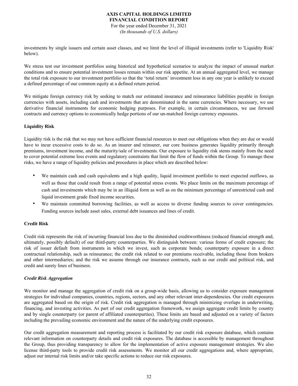For the year ended December 31, 2021 *(In thousands of U.S. dollars)*

investments by single issuers and certain asset classes, and we limit the level of illiquid investments (refer to 'Liquidity Risk' below).

We stress test our investment portfolios using historical and hypothetical scenarios to analyze the impact of unusual market conditions and to ensure potential investment losses remain within our risk appetite. At an annual aggregated level, we manage the total risk exposure to our investment portfolio so that the 'total return' investment loss in any one year is unlikely to exceed a defined percentage of our common equity at a defined return period.

We mitigate foreign currency risk by seeking to match our estimated insurance and reinsurance liabilities payable in foreign currencies with assets, including cash and investments that are denominated in the same currencies. Where necessary, we use derivative financial instruments for economic hedging purposes. For example, in certain circumstances, we use forward contracts and currency options to economically hedge portions of our un-matched foreign currency exposures.

## **Liquidity Risk**

Liquidity risk is the risk that we may not have sufficient financial resources to meet our obligations when they are due or would have to incur excessive costs to do so. As an insurer and reinsurer, our core business generates liquidity primarily through premiums, investment income, and the maturity/sale of investments. Our exposure to liquidity risk stems mainly from the need to cover potential extreme loss events and regulatory constraints that limit the flow of funds within the Group. To manage these risks, we have a range of liquidity policies and procedures in place which are described below:

- We maintain cash and cash equivalents and a high quality, liquid investment portfolio to meet expected outflows, as well as those that could result from a range of potential stress events. We place limits on the maximum percentage of cash and investments which may be in an illiquid form as well as on the minimum percentage of unrestricted cash and liquid investment grade fixed income securities.
- We maintain committed borrowing facilities, as well as access to diverse funding sources to cover contingencies. Funding sources include asset sales, external debt issuances and lines of credit.

# **Credit Risk**

Credit risk represents the risk of incurring financial loss due to the diminished creditworthiness (reduced financial strength and, ultimately, possibly default) of our third-party counterparties. We distinguish between: various forms of credit exposure; the risk of issuer default from instruments in which we invest, such as corporate bonds; counterparty exposure in a direct contractual relationship, such as reinsurance; the credit risk related to our premiums receivable, including those from brokers and other intermediaries; and the risk we assume through our insurance contracts, such as our credit and political risk, and credit and surety lines of business.

## *Credit Risk Aggregation*

We monitor and manage the aggregation of credit risk on a group-wide basis, allowing us to consider exposure management strategies for individual companies, countries, regions, sectors, and any other relevant inter-dependencies. Our credit exposures are aggregated based on the origin of risk. Credit risk aggregation is managed through minimizing overlaps in underwriting, financing, and investing activities. As part of our credit aggregation framework, we assign aggregate credit limits by country and by single counterparty (or parent of affiliated counterparties). These limits are based and adjusted on a variety of factors including the prevailing economic environment and the nature of the underlying credit exposures.

Our credit aggregation measurement and reporting process is facilitated by our credit risk exposure database, which contains relevant information on counterparty details and credit risk exposures. The database is accessible by management throughout the Group, thus providing transparency to allow for the implementation of active exposure management strategies. We also license third-party tools to provide credit risk assessments. We monitor all our credit aggregations and, where appropriate, adjust our internal risk limits and/or take specific actions to reduce our risk exposures.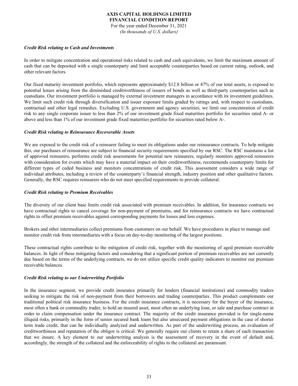For the year ended December 31, 2021 *(In thousands of U.S. dollars)*

#### *Credit Risk relating to Cash and Investments*

In order to mitigate concentration and operational risks related to cash and cash equivalents, we limit the maximum amount of cash that can be deposited with a single counterparty and limit acceptable counterparties based on current rating, outlook, and other relevant factors.

Our fixed maturity investment portfolio, which represents approximately \$12.8 billion or 47% of our total assets, is exposed to potential losses arising from the diminished creditworthiness of issuers of bonds as well as third-party counterparties such as custodians. Our investment portfolio is managed by external investment managers in accordance with its investment guidelines. We limit such credit risk through diversification and issuer exposure limits graded by ratings and, with respect to custodians, contractual and other legal remedies. Excluding U.S. government and agency securities, we limit our concentration of credit risk to any single corporate issuer to less than 2% of our investment grade fixed maturities portfolio for securities rated A- or above and less than 1% of our investment grade fixed maturities portfolio for securities rated below A-.

## *Credit Risk relating to Reinsurance Recoverable Assets*

We are exposed to the credit risk of a reinsurer failing to meet its obligations under our reinsurance contracts. To help mitigate this, our purchases of reinsurance are subject to financial security requirements specified by our RSC. The RSC maintains a list of approved reinsurers, performs credit risk assessments for potential new reinsurers, regularly monitors approved reinsurers with consideration for events which may have a material impact on their creditworthiness, recommends counterparty limits for different types of ceded business and monitors concentrations of credit risk. This assessment considers a wide range of individual attributes, including a review of the counterparty's financial strength, industry position and other qualitative factors. Generally, the RSC requires reinsurers who do not meet specified requirements to provide collateral.

## *Credit Risk relating to Premium Receivables*

The diversity of our client base limits credit risk associated with premium receivables. In addition, for insurance contracts we have contractual rights to cancel coverage for non-payment of premiums, and for reinsurance contracts we have contractual rights to offset premium receivables against corresponding payments for losses and loss expenses.

Brokers and other intermediaries collect premiums from customers on our behalf. We have procedures in place to manage and monitor credit risk from intermediaries with a focus on day-to-day monitoring of the largest positions.

These contractual rights contribute to the mitigation of credit risk, together with the monitoring of aged premium receivable balances. In light of these mitigating factors and considering that a significant portion of premium receivables are not currently due based on the terms of the underlying contracts, we do not utilize specific credit quality indicators to monitor our premium receivable balances.

## *Credit Risk relating to our Underwriting Portfolio*

In the insurance segment, we provide credit insurance primarily for lenders (financial institutions) and commodity traders seeking to mitigate the risk of non-payment from their borrowers and trading counterparties. This product complements our traditional political risk insurance business. For the credit insurance contracts, it is necessary for the buyer of the insurance, most often a bank or commodity trader, to hold an insured asset, most often an underlying loan, or sale and purchase contract in order to claim compensation under the insurance contract. The majority of the credit insurance provided is for single-name illiquid risks, primarily in the form of senior secured bank loans but also unsecured payment obligations in the case of shorter term trade credit, that can be individually analyzed and underwritten. As part of the underwriting process, an evaluation of creditworthiness and reputation of the obligor is critical. We generally require our clients to retain a share of each transaction that we insure. A key element to our underwriting analysis is the assessment of recovery in the event of default and, accordingly, the strength of the collateral and the enforceability of rights to the collateral are paramount.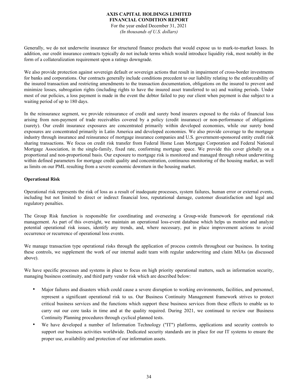For the year ended December 31, 2021 *(In thousands of U.S. dollars)*

Generally, we do not underwrite insurance for structured finance products that would expose us to mark-to-market losses. In addition, our credit insurance contracts typically do not include terms which would introduce liquidity risk, most notably in the form of a collateralization requirement upon a ratings downgrade.

We also provide protection against sovereign default or sovereign actions that result in impairment of cross-border investments for banks and corporations. Our contracts generally include conditions precedent to our liability relating to the enforceability of the insured transaction and restricting amendments to the transaction documentation, obligations on the insured to prevent and minimize losses, subrogation rights (including rights to have the insured asset transferred to us) and waiting periods. Under most of our policies, a loss payment is made in the event the debtor failed to pay our client when payment is due subject to a waiting period of up to 180 days.

In the reinsurance segment, we provide reinsurance of credit and surety bond insurers exposed to the risks of financial loss arising from non-payment of trade receivables covered by a policy (credit insurance) or non-performance of obligations (surety). Our credit insurance exposures are concentrated primarily within developed economies, while our surety bond exposures are concentrated primarily in Latin America and developed economies. We also provide coverage to the mortgage industry through insurance and reinsurance of mortgage insurance companies and U.S. government-sponsored entity credit risk sharing transactions. We focus on credit risk transfer from Federal Home Loan Mortgage Corporation and Federal National Mortgage Association, in the single-family, fixed rate, conforming mortgage space. We provide this cover globally on a proportional and non-proportional basis. Our exposure to mortgage risk is monitored and managed through robust underwriting within defined parameters for mortgage credit quality and concentration, continuous monitoring of the housing market, as well as limits on our PML resulting from a severe economic downturn in the housing market.

## **Operational Risk**

Operational risk represents the risk of loss as a result of inadequate processes, system failures, human error or external events, including but not limited to direct or indirect financial loss, reputational damage, customer dissatisfaction and legal and regulatory penalties.

The Group Risk function is responsible for coordinating and overseeing a Group-wide framework for operational risk management. As part of this oversight, we maintain an operational loss-event database which helps us monitor and analyze potential operational risk issues, identify any trends, and, where necessary, put in place improvement actions to avoid occurrence or recurrence of operational loss events.

We manage transaction type operational risks through the application of process controls throughout our business. In testing these controls, we supplement the work of our internal audit team with regular underwriting and claim MIAs (as discussed above).

We have specific processes and systems in place to focus on high priority operational matters, such as information security, managing business continuity, and third party vendor risk which are described below:

- Major failures and disasters which could cause a severe disruption to working environments, facilities, and personnel, represent a significant operational risk to us. Our Business Continuity Management framework strives to protect critical business services and the functions which support these business services from these effects to enable us to carry out our core tasks in time and at the quality required. During 2021, we continued to review our Business Continuity Planning procedures through cyclical planned tests.
- We have developed a number of Information Technology ("IT") platforms, applications and security controls to support our business activities worldwide. Dedicated security standards are in place for our IT systems to ensure the proper use, availability and protection of our information assets.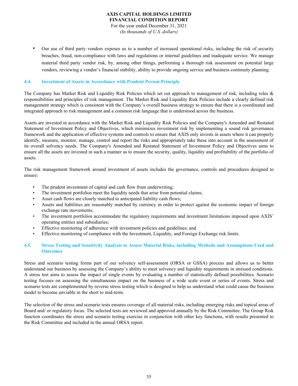For the year ended December 31, 2021 *(In thousands of U.S. dollars)*

• Our use of third party vendors exposes us to a number of increased operational risks, including the risk of security breaches, fraud, non-compliance with laws and regulations or internal guidelines and inadequate service. We manage material third party vendor risk, by, among other things, performing a thorough risk assessment on potential large vendors, reviewing a vendor's financial stability, ability to provide ongoing service and business continuity planning.

## **4.4. Investment of Assets in Accordance with Prudent Person Principle**

The Company has Market Risk and Liquidity Risk Policies which set out approach to management of risk, including roles & responsibilities and principles of risk management. The Market Risk and Liquidity Risk Policies include a clearly defined risk management strategy which is consistent with the Company's overall business strategy to ensure that there is a coordinated and integrated approach to risk management and a common risk language that is understood across the business.

Assets are invested in accordance with the Market Risk and Liquidity Risk Policies and the Company's Amended and Restated Statement of Investment Policy and Objectives, which minimizes investment risk by implementing a sound risk governance framework and the application of effective systems and controls to ensure that AXIS only invests in assets where it can properly identify, measure, monitor, manage, control and report the risks and appropriately take these into account in the assessment of its overall solvency needs. The Company's Amended and Restated Statement of Investment Policy and Objectives aims to ensure all the assets are invested in such a manner as to ensure the security, quality, liquidity and profitability of the portfolio of assets.

The risk management framework around investment of assets includes the governance, controls and procedures designed to ensure:

- The prudent investment of capital and cash flow from underwriting;
- The investment portfolios meet the liquidity needs that arise from potential claims;
- Asset cash flows are closely matched to anticipated liability cash flows;
- Assets and liabilities are reasonably matched by currency in order to protect against the economic impact of foreign exchange rate movements;
- The investment portfolios accommodate the regulatory requirements and investment limitations imposed upon AXIS' operating entities and subsidiaries;
- Effective monitoring of adherence with investment policies and guidelines; and
- Effective monitoring of compliance with the Investment, Liquidity, and Foreign Exchange risk limits.

## **4.5. Stress Testing and Sensitivity Analysis to Assess Material Risks, including Methods and Assumptions Used and Outcomes**

Stress and scenario testing forms part of our solvency self-assessment (ORSA or GSSA) process and allows us to better understand our business by assessing the Company's ability to meet solvency and liquidity requirements in stressed conditions. A stress test aims to assess the impact of single events by evaluating a number of statistically defined possibilities. Scenario testing focuses on assessing the simultaneous impact on the business of a wide scale event or series of events. Stress and scenario tests are complemented by reverse stress testing which is designed to help us understand what could cause the business model to become unviable in the short to mid-term.

The selection of the stress and scenario tests ensures coverage of all material risks, including emerging risks and topical areas of Board and/ or regulatory focus. The selected tests are reviewed and approved annually by the Risk Committee. The Group Risk function coordinates the stress and scenario testing exercise in conjunction with other key functions, with results presented to the Risk Committee and included in the annual ORSA report.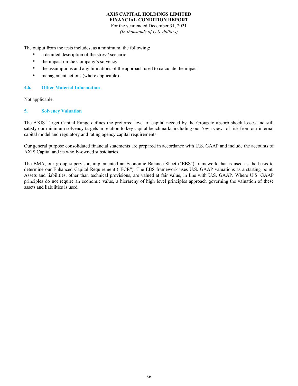For the year ended December 31, 2021 *(In thousands of U.S. dollars)*

The output from the tests includes, as a minimum, the following:

- a detailed description of the stress/ scenario
- the impact on the Company's solvency
- the assumptions and any limitations of the approach used to calculate the impact
- management actions (where applicable).

## **4.6. Other Material Information**

Not applicable.

## **5. Solvency Valuation**

The AXIS Target Capital Range defines the preferred level of capital needed by the Group to absorb shock losses and still satisfy our minimum solvency targets in relation to key capital benchmarks including our "own view" of risk from our internal capital model and regulatory and rating agency capital requirements.

Our general purpose consolidated financial statements are prepared in accordance with U.S. GAAP and include the accounts of AXIS Capital and its wholly-owned subsidiaries.

The BMA, our group supervisor, implemented an Economic Balance Sheet ("EBS") framework that is used as the basis to determine our Enhanced Capital Requirement ("ECR"). The EBS framework uses U.S. GAAP valuations as a starting point. Assets and liabilities, other than technical provisions, are valued at fair value, in line with U.S. GAAP. Where U.S. GAAP principles do not require an economic value, a hierarchy of high level principles approach governing the valuation of these assets and liabilities is used.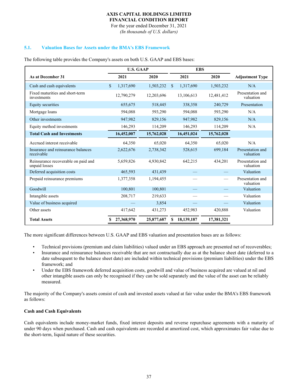For the year ended December 31, 2021 *(In thousands of U.S. dollars)*

## **5.1. Valuation Bases for Assets under the BMA's EBS Framework**

|                                                      | <b>U.S. GAAP</b>          |            | <b>EBS</b>       |            |                               |
|------------------------------------------------------|---------------------------|------------|------------------|------------|-------------------------------|
| As at December 31                                    | 2021                      | 2020       | 2021             | 2020       | <b>Adjustment Type</b>        |
| Cash and cash equivalents                            | $\mathbf{s}$<br>1,317,690 | 1,503,232  | 1,317,690<br>\$  | 1,503,232  | N/A                           |
| Fixed maturities and short-term<br>investments       | 12,790,279                | 12,203,696 | 13,106,613       | 12,481,412 | Presentation and<br>valuation |
| Equity securities                                    | 655,675                   | 518,445    | 338,358          | 240,729    | Presentation                  |
| Mortgage loans                                       | 594,088                   | 593,290    | 594,088          | 593,290    | N/A                           |
| Other investments                                    | 947,982                   | 829,156    | 947,982          | 829,156    | N/A                           |
| Equity method investments                            | 146,293                   | 114,209    | 146,293          | 114,209    | N/A                           |
| <b>Total Cash and Investments</b>                    | 16,452,007                | 15,762,028 | 16,451,024       | 15,762,028 |                               |
| Accrued interest receivable                          | 64,350                    | 65,020     | 64,350           | 65,020     | N/A                           |
| Insurance and reinsurance balances<br>receivable     | 2,622,676                 | 2,738,342  | 528,615          | 699,184    | Presentation and<br>valuation |
| Reinsurance recoverable on paid and<br>unpaid losses | 5,659,826                 | 4,930,842  | 642,215          | 434,201    | Presentation and<br>valuation |
| Deferred acquisition costs                           | 465,593                   | 431,439    |                  |            | Valuation                     |
| Prepaid reinsurance premiums                         | 1,377,358                 | 1,194,455  |                  |            | Presentation and<br>valuation |
| Goodwill                                             | 100,801                   | 100,801    |                  |            | Valuation                     |
| Intangible assets                                    | 208,717                   | 219,633    |                  |            | Valuation                     |
| Value of business acquired                           |                           | 3,854      |                  |            | Valuation                     |
| Other assets                                         | 417,642                   | 431,273    | 452,983          | 420,888    | Valuation                     |
| <b>Total Assets</b>                                  | 27,368,970                | 25,877,687 | 18,139,187<br>\$ | 17,381,321 |                               |

The following table provides the Company's assets on both U.S. GAAP and EBS bases:

The more significant differences between U.S. GAAP and EBS valuation and presentation bases are as follows:

- Technical provisions (premium and claim liabilities) valued under an EBS approach are presented net of recoverables;
- Insurance and reinsurance balances receivable that are not contractually due as at the balance sheet date (deferred to a date subsequent to the balance sheet date) are included within technical provisions (premium liabilities) under the EBS framework; and
- Under the EBS framework deferred acquisition costs, goodwill and value of business acquired are valued at nil and other intangible assets can only be recognised if they can be sold separately and the value of the asset can be reliably measured.

The majority of the Company's assets consist of cash and invested assets valued at fair value under the BMA's EBS framework as follows:

## **Cash and Cash Equivalents**

Cash equivalents include money-market funds, fixed interest deposits and reverse repurchase agreements with a maturity of under 90 days when purchased. Cash and cash equivalents are recorded at amortized cost, which approximates fair value due to the short-term, liquid nature of these securities.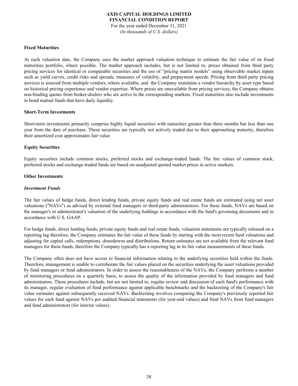For the year ended December 31, 2021 *(In thousands of U.S. dollars)*

#### **Fixed Maturities**

At each valuation date, the Company uses the market approach valuation technique to estimate the fair value of its fixed maturities portfolio, where possible. The market approach includes, but is not limited to, prices obtained from third party pricing services for identical or comparable securities and the use of "pricing matrix models" using observable market inputs such as yield curves, credit risks and spreads, measures of volatility, and prepayment speeds. Pricing from third party pricing services is sourced from multiple vendors, where available, and the Company maintains a vendor hierarchy by asset type based on historical pricing experience and vendor expertise. Where prices are unavailable from pricing services, the Company obtains non-binding quotes from broker-dealers who are active in the corresponding markets. Fixed maturities also include investments in bond mutual funds that have daily liquidity.

#### **Short-Term Investments**

Short-term investments primarily comprise highly liquid securities with maturities greater than three months but less than one year from the date of purchase. These securities are typically not actively traded due to their approaching maturity, therefore their amortized cost approximates fair value.

## **Equity Securities**

Equity securities include common stocks, preferred stocks and exchange-traded funds. The fair values of common stock, preferred stocks and exchange-traded funds are based on unadjusted quoted market prices in active markets.

#### **Other Investments**

#### *Investment Funds*

The fair values of hedge funds, direct lending funds, private equity funds and real estate funds are estimated using net asset valuations ("NAVs") as advised by external fund managers or third-party administrators. For these funds, NAVs are based on the manager's or administrator's valuation of the underlying holdings in accordance with the fund's governing documents and in accordance with U.S. GAAP.

For hedge funds, direct lending funds, private equity funds and real estate funds, valuation statements are typically released on a reporting lag therefore, the Company estimates the fair value of these funds by starting with the most recent fund valuations and adjusting for capital calls, redemptions, drawdowns and distributions. Return estimates are not available from the relevant fund managers for these funds, therefore the Company typically has a reporting lag in its fair value measurements of these funds.

The Company often does not have access to financial information relating to the underlying securities held within the funds. Therefore, management is unable to corroborate the fair values placed on the securities underlying the asset valuations provided by fund managers or fund administrators. In order to assess the reasonableness of the NAVs, the Company performs a number of monitoring procedures on a quarterly basis, to assess the quality of the information provided by fund managers and fund administrators. These procedures include, but are not limited to, regular review and discussion of each fund's performance with its manager, regular evaluation of fund performance against applicable benchmarks and the backtesting of the Company's fair value estimates against subsequently received NAVs. Backtesting involves comparing the Company's previously reported fair values for each fund against NAVs per audited financial statements (for year-end values) and final NAVs from fund managers and fund administrators (for interim values).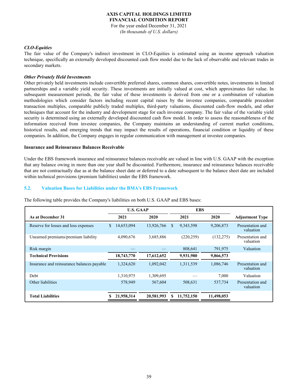#### **AXIS CAPITAL HOLDINGS LIMITED FINANCIAL CONDITION REPORT** For the year ended December 31, 2021

*(In thousands of U.S. dollars)*

#### *CLO-Equities*

The fair value of the Company's indirect investment in CLO-Equities is estimated using an income approach valuation technique, specifically an externally developed discounted cash flow model due to the lack of observable and relevant trades in secondary markets.

#### *Other Privately Held Investments*

Other privately held investments include convertible preferred shares, common shares, convertible notes, investments in limited partnerships and a variable yield security. These investments are initially valued at cost, which approximates fair value. In subsequent measurement periods, the fair value of these investments is derived from one or a combination of valuation methodologies which consider factors including recent capital raises by the investee companies, comparable precedent transaction multiples, comparable publicly traded multiples, third-party valuations, discounted cash-flow models, and other techniques that account for the industry and development stage for each investee company. The fair value of the variable yield security is determined using an externally developed discounted cash flow model. In order to assess the reasonableness of the information received from investee companies, the Company maintains an understanding of current market conditions, historical results, and emerging trends that may impact the results of operations, financial condition or liquidity of these companies. In addition, the Company engages in regular communication with management at investee companies.

#### **Insurance and Reinsurance Balances Receivable**

Under the EBS framework insurance and reinsurance balances receivable are valued in line with U.S. GAAP with the exception that any balance owing in more than one year shall be discounted. Furthermore, insurance and reinsurance balances receivable that are not contractually due as at the balance sheet date or deferred to a date subsequent to the balance sheet date are included within technical provisions (premium liabilities) under the EBS framework.

#### **5.2. Valuation Bases for Liabilities under the BMA's EBS Framework**

|                                            | <b>U.S. GAAP</b> |            | <b>EBS</b>      |            |                               |
|--------------------------------------------|------------------|------------|-----------------|------------|-------------------------------|
| As at December 31                          | 2021             | 2020       | 2021            | 2020       | <b>Adjustment Type</b>        |
| Reserve for losses and loss expenses       | 14,653,094<br>\$ | 13,926,766 | \$<br>9,343,598 | 9,206,873  | Presentation and<br>valuation |
| Unearned premiums/premium liability        | 4,090,676        | 3,685,886  | (220, 259)      | (132, 275) | Presentation and<br>valuation |
| Risk margin                                |                  |            | 808,641         | 791,975    | Valuation                     |
| <b>Technical Provisions</b>                | 18,743,770       | 17,612,652 | 9,931,980       | 9,866,573  |                               |
| Insurance and reinsurance balances payable | 1,324,620        | 1,092,042  | 1,311,539       | 1,086,746  | Presentation and<br>valuation |
| Debt                                       | 1,310,975        | 1,309,695  |                 | 7,000      | Valuation                     |
| Other liabilities                          | 578,949          | 567,604    | 508,631         | 537,734    | Presentation and<br>valuation |
| <b>Total Liabilities</b>                   | 21,958,314       | 20,581,993 | 11,752,150      | 11,498,053 |                               |

The following table provides the Company's liabilities on both U.S. GAAP and EBS bases: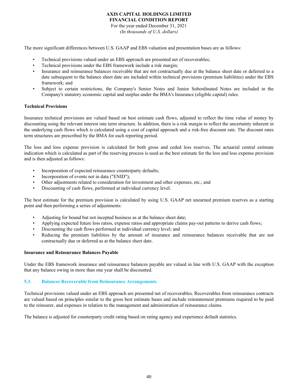For the year ended December 31, 2021 *(In thousands of U.S. dollars)*

The more significant differences between U.S. GAAP and EBS valuation and presentation bases are as follows:

- Technical provisions valued under an EBS approach are presented net of recoverables;
- Technical provisions under the EBS framework include a risk margin;
- Insurance and reinsurance balances receivable that are not contractually due at the balance sheet date or deferred to a date subsequent to the balance sheet date are included within technical provisions (premium liabilities) under the EBS framework; and
- Subject to certain restrictions, the Company's Senior Notes and Junior Subordinated Notes are included in the Company's statutory economic capital and surplus under the BMA's Insurance (eligible capital) rules.

#### **Technical Provisions**

Insurance technical provisions are valued based on best estimate cash flows, adjusted to reflect the time value of money by discounting using the relevant interest rate term structure. In addition, there is a risk margin to reflect the uncertainty inherent in the underlying cash flows which is calculated using a cost of capital approach and a risk-free discount rate. The discount rates term structures are prescribed by the BMA for each reporting period.

The loss and loss expense provision is calculated for both gross and ceded loss reserves. The actuarial central estimate indication which is calculated as part of the reserving process is used as the best estimate for the loss and loss expense provision and is then adjusted as follows:

- Incorporation of expected reinsurance counterparty defaults;
- Incorporation of events not in data ("ENID");
- Other adjustments related to consideration for investment and other expenses, etc.; and
- Discounting of cash flows, performed at individual currency level.

The best estimate for the premium provision is calculated by using U.S. GAAP net unearned premium reserves as a starting point and then performing a series of adjustments:

- Adjusting for bound but not incepted business as at the balance sheet date;
- Applying expected future loss ratios, expense ratios and appropriate claims pay-out patterns to derive cash flows;
- Discounting the cash flows performed at individual currency level; and
- Reducing the premium liabilities by the amount of insurance and reinsurance balances receivable that are not contractually due or deferred as at the balance sheet date.

#### **Insurance and Reinsurance Balances Payable**

Under the EBS framework insurance and reinsurance balances payable are valued in line with U.S. GAAP with the exception that any balance owing in more than one year shall be discounted.

#### **5.3. Balances Recoverable from Reinsurance Arrangements**

Technical provisions valued under an EBS approach are presented net of recoverables. Recoverables from reinsurance contracts are valued based on principles similar to the gross best estimate bases and include reinstatement premiums required to be paid to the reinsurer, and expenses in relation to the management and administration of reinsurance claims.

The balance is adjusted for counterparty credit rating based on rating agency and experience default statistics.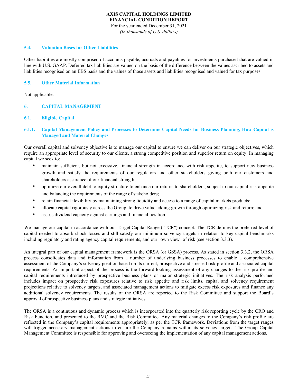For the year ended December 31, 2021 *(In thousands of U.S. dollars)*

#### **5.4. Valuation Bases for Other Liabilities**

Other liabilities are mostly comprised of accounts payable, accruals and payables for investments purchased that are valued in line with U.S. GAAP. Deferred tax liabilities are valued on the basis of the difference between the values ascribed to assets and liabilities recognised on an EBS basis and the values of those assets and liabilities recognised and valued for tax purposes.

## **5.5. Other Material Information**

Not applicable.

## **6. CAPITAL MANAGEMENT**

## **6.1. Eligible Capital**

## **6.1.1. Capital Management Policy and Processes to Determine Capital Needs for Business Planning, How Capital is Managed and Material Changes**

Our overall capital and solvency objective is to manage our capital to ensure we can deliver on our strategic objectives, which require an appropriate level of security to our clients, a strong competitive position and superior return on equity. In managing capital we seek to:

- maintain sufficient, but not excessive, financial strength in accordance with risk appetite, to support new business growth and satisfy the requirements of our regulators and other stakeholders giving both our customers and shareholders assurance of our financial strength;
- optimize our overall debt to equity structure to enhance our returns to shareholders, subject to our capital risk appetite and balancing the requirements of the range of stakeholders;
- retain financial flexibility by maintaining strong liquidity and access to a range of capital markets products;
- allocate capital rigorously across the Group, to drive value adding growth through optimizing risk and return; and
- assess dividend capacity against earnings and financial position.

We manage our capital in accordance with our Target Capital Range ("TCR") concept. The TCR defines the preferred level of capital needed to absorb shock losses and still satisfy our minimum solvency targets in relation to key capital benchmarks including regulatory and rating agency capital requirements, and our "own view" of risk (see section 3.3.3).

An integral part of our capital management framework is the ORSA (or GSSA) process. As stated in section 3.3.2, the ORSA process consolidates data and information from a number of underlying business processes to enable a comprehensive assessment of the Company's solvency position based on its current, prospective and stressed risk profile and associated capital requirements. An important aspect of the process is the forward-looking assessment of any changes to the risk profile and capital requirements introduced by prospective business plans or major strategic initiatives. The risk analysis performed includes impact on prospective risk exposures relative to risk appetite and risk limits, capital and solvency requirement projections relative to solvency targets, and associated management actions to mitigate excess risk exposures and finance any additional solvency requirements. The results of the ORSA are reported to the Risk Committee and support the Board's approval of prospective business plans and strategic initiatives.

The ORSA is a continuous and dynamic process which is incorporated into the quarterly risk reporting cycle by the CRO and Risk Function, and presented to the RMC and the Risk Committee. Any material changes to the Company's risk profile are reflected in the Company's capital requirements appropriately, as per the TCR framework. Deviations from the target ranges will trigger necessary management actions to ensure the Company remains within its solvency targets. The Group Capital Management Committee is responsible for approving and overseeing the implementation of any capital management actions.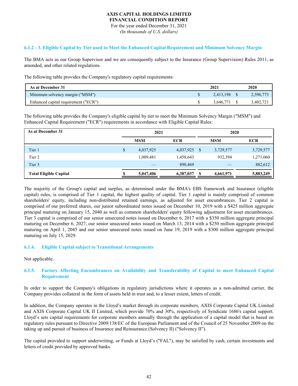For the year ended December 31, 2021 *(In thousands of U.S. dollars)*

## **6.1.2 - 3. Eligible Capital by Tier used to Meet the Enhanced Capital Requirement and Minimum Solvency Margin**

The BMA acts as our Group Supervisor and we are consequently subject to the Insurance (Group Supervision) Rules 2011, as amended, and other related regulations.

The following table provides the Company's regulatory capital requirements:

| As at December 31                    | 2021         | 2020 |           |
|--------------------------------------|--------------|------|-----------|
| Minimum solvency margin ("MSM")      | 2,413,198 \$ |      | 2,596,773 |
| Enhanced capital requirement ("ECR") | 3.646.771    |      | 3,402,721 |

The following table provides the Company's eligible capital by tier to meet the Minimum Solvency Margin ("MSM") and Enhanced Capital Requirement ("ECR") requirements in accordance with Eligible Capital Rules:

| As at December 31             | 2021 |            |            |      | 2020       |            |  |
|-------------------------------|------|------------|------------|------|------------|------------|--|
|                               |      | <b>MSM</b> | <b>ECR</b> |      | <b>MSM</b> | <b>ECR</b> |  |
| Tier 1                        | \$   | 4,037,925  | 4,037,925  | - \$ | 3,729,577  | 3,729,577  |  |
| Tier 2                        |      | 1,009,481  | 1,458,643  |      | 932,394    | 1,271,060  |  |
| Tier 3                        |      |            | 890,469    |      |            | 882,612    |  |
| <b>Total Eligible Capital</b> |      | 5,047,406  | 6,387,037  | S    | 4,661,971  | 5,883,249  |  |

The majority of the Group's capital and surplus, as determined under the BMA's EBS framework and Insurance (eligible capital) rules, is comprised of Tier 1 capital, the highest quality of capital. Tier 1 capital is mainly comprised of common shareholders' equity, including non-distributed retained earnings, as adjusted for asset encumbrances. Tier 2 capital is comprised of our preferred shares, our junior subordinated notes issued on December 10, 2019 with a \$425 million aggregate principal maturing on January 15, 2040 as well as common shareholders' equity following adjustment for asset encumbrances. Tier 3 capital is comprised of our senior unsecured notes issued on December 6, 2017 with a \$350 million aggregate principal maturing on December 6, 2027, our senior unsecured notes issued on March 13, 2014 with a \$250 million aggregate principal maturing on April 1, 2045 and our senior unsecured notes issued on June 19, 2019 with a \$300 million aggregate principal maturing on July 15, 2029.

## **6.1.4. Eligible Capital subject to Transitional Arrangements**

Not applicable.

## **6.1.5. Factors Affecting Encumbrances on Availability and Transferability of Capital to meet Enhanced Capital Requirement**

In order to support the Company's obligations in regulatory jurisdictions where it operates as a non-admitted carrier, the Company provides collateral in the form of assets held in trust and, to a lesser extent, letters of credit.

In addition, the Company operates in the Lloyd's market through its corporate members, AXIS Corporate Capital UK Limited and AXIS Corporate Capital UK II Limited, which provide 70% and 30%, respectively of Syndicate 1686's capital support. Lloyd's sets capital requirements for corporate members annually through the application of a capital model that is based on regulatory rules pursuant to Directive 2009/138/EC of the European Parliament and of the Council of 25 November 2009 on the taking up and pursuit of business of Insurance and Reinsurance (Solvency II) ("Solvency II").

The capital provided to support underwriting, or Funds at Lloyd's ("FAL"), may be satisfied by cash, certain investments and letters of credit provided by approved banks.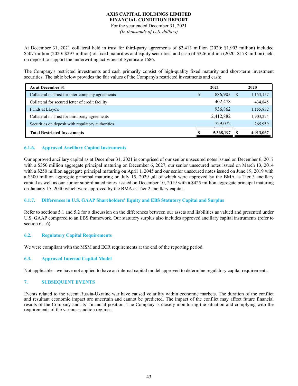For the year ended December 31, 2021 *(In thousands of U.S. dollars)*

At December 31, 2021 collateral held in trust for third-party agreements of \$2,413 million (2020: \$1,903 million) included \$507 million (2020: \$297 million) of fixed maturities and equity securities, and cash of \$326 million (2020: \$178 million) held on deposit to support the underwriting activities of Syndicate 1686.

The Company's restricted investments and cash primarily consist of high-quality fixed maturity and short-term investment securities. The table below provides the fair values of the Company's restricted investments and cash:

| As at December 31                                 | 2021 |           |  | 2020      |  |  |
|---------------------------------------------------|------|-----------|--|-----------|--|--|
| Collateral in Trust for inter-company agreements  | \$   | 886,903   |  | 1,153,157 |  |  |
| Collateral for secured letter of credit facility  |      | 402,478   |  | 434,845   |  |  |
| Funds at Lloyd's                                  |      | 936,862   |  | 1,155,832 |  |  |
| Collateral in Trust for third party agreements    |      | 2,412,882 |  | 1,903,274 |  |  |
| Securities on deposit with regulatory authorities |      | 729,072   |  | 265,959   |  |  |
| <b>Total Restricted Investments</b>               |      | 5,368,197 |  | 4,913,067 |  |  |

# **6.1.6. Approved Ancillary Capital Instruments**

Our approved ancillary capital as at December 31, 2021 is comprised of our senior unsecured notes issued on December 6, 2017 with a \$350 million aggregate principal maturing on December 6, 2027, our senior unsecured notes issued on March 13, 2014 with a \$250 million aggregate principal maturing on April 1, 2045 and our senior unsecured notes issued on June 19, 2019 with a \$300 million aggregate principal maturing on July 15, 2029 ,all of which were approved by the BMA as Tier 3 ancillary capital as well as our junior subordinated notes issued on December 10, 2019 with a \$425 million aggregate principal maturing on January 15, 2040 which were approved by the BMA as Tier 2 ancillary capital.

## **6.1.7. Differences in U.S. GAAP Shareholders' Equity and EBS Statutory Capital and Surplus**

Refer to sections 5.1 and 5.2 for a discussion on the differences between our assets and liabilities as valued and presented under U.S. GAAP compared to an EBS framework. Our statutory surplus also includes approved ancillary capital instruments (refer to section 6.1.6).

## **6.2. Regulatory Capital Requirements**

We were compliant with the MSM and ECR requirements at the end of the reporting period.

# **6.3. Approved Internal Capital Model**

Not applicable - we have not applied to have an internal capital model approved to determine regulatory capital requirements.

## **7. SUBSEQUENT EVENTS**

Events related to the recent Russia-Ukraine war have caused volatility within economic markets. The duration of the conflict and resultant economic impact are uncertain and cannot be predicted. The impact of the conflict may affect future financial results of the Company and its' financial position. The Company is closely monitoring the situation and complying with the requirements of the various sanction regimes.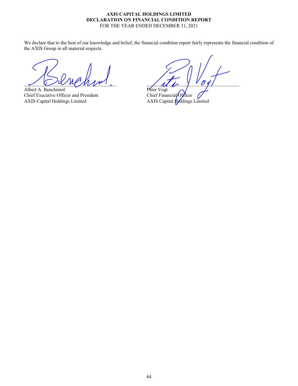## AXIS CAPITAL HOLDINGS LIMITED DECLARATION ON FINANCIAL CONDITION REPORT FOR THE YEAR ENDED DECEMBER 31, 2021

We declare that to the best of our knowledge and belief, the financial condition report fairly represents the financial condition of the AXIS Group in all material respects.

33333333333333333333333333333333333333 33333333333333333333333333333333333333

Albert A. Benchimol<br>
Chief Executive Officer and President<br>
Chief Financial/Officer Chief Executive Officer and President AXIS Capital Holdings Limited AXIS Capital Holdings Limited